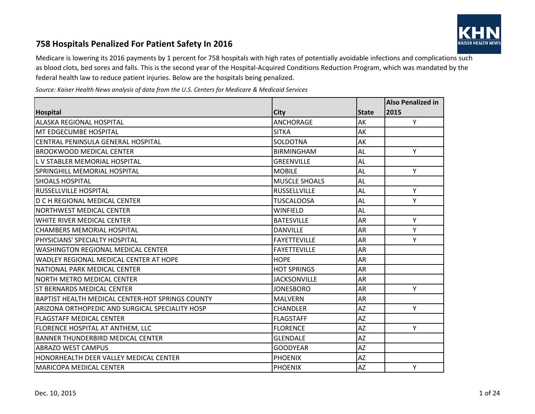

## **758 Hospitals Penalized For Patient Safety In 2016**

Medicare is lowering its 2016 payments by 1 percent for 758 hospitals with high rates of potentially avoidable infections and complications such as blood clots, bed sores and falls. This is the second year of the Hospital-Acquired Conditions Reduction Program, which was mandated by the federal health law to reduce patient injuries. Below are the hospitals being penalized.

*Source: Kaiser Health News analysis of data from the U.S. Centers for Medicare & Medicaid Services*

|                                                  |                      |              | <b>Also Penalized in</b> |
|--------------------------------------------------|----------------------|--------------|--------------------------|
| <b>Hospital</b>                                  | City                 | <b>State</b> | 2015                     |
| <b>ALASKA REGIONAL HOSPITAL</b>                  | <b>ANCHORAGE</b>     | AK           | Y                        |
| <b>MT EDGECUMBE HOSPITAL</b>                     | <b>SITKA</b>         | AK           |                          |
| <b>CENTRAL PENINSULA GENERAL HOSPITAL</b>        | SOLDOTNA             | AK           |                          |
| <b>BROOKWOOD MEDICAL CENTER</b>                  | <b>BIRMINGHAM</b>    | <b>AL</b>    | Y                        |
| L V STABLER MEMORIAL HOSPITAL                    | <b>GREENVILLE</b>    | AL           |                          |
| <b>SPRINGHILL MEMORIAL HOSPITAL</b>              | <b>MOBILE</b>        | <b>AL</b>    | Y                        |
| ISHOALS HOSPITAL                                 | <b>MUSCLE SHOALS</b> | AL           |                          |
| <b>IRUSSELLVILLE HOSPITAL</b>                    | <b>RUSSELLVILLE</b>  | <b>AL</b>    | Y                        |
| <b>D C H REGIONAL MEDICAL CENTER</b>             | <b>TUSCALOOSA</b>    | <b>AL</b>    | Y                        |
| NORTHWEST MEDICAL CENTER                         | <b>WINFIELD</b>      | <b>AL</b>    |                          |
| WHITE RIVER MEDICAL CENTER                       | <b>BATESVILLE</b>    | <b>AR</b>    | Y                        |
| <b>CHAMBERS MEMORIAL HOSPITAL</b>                | <b>DANVILLE</b>      | AR           | Y                        |
| PHYSICIANS' SPECIALTY HOSPITAL                   | <b>FAYETTEVILLE</b>  | <b>AR</b>    | Y                        |
| <b>WASHINGTON REGIONAL MEDICAL CENTER</b>        | <b>FAYETTEVILLE</b>  | <b>AR</b>    |                          |
| WADLEY REGIONAL MEDICAL CENTER AT HOPE           | <b>HOPE</b>          | <b>AR</b>    |                          |
| NATIONAL PARK MEDICAL CENTER                     | <b>HOT SPRINGS</b>   | <b>AR</b>    |                          |
| NORTH METRO MEDICAL CENTER                       | <b>JACKSONVILLE</b>  | <b>AR</b>    |                          |
| <b>ST BERNARDS MEDICAL CENTER</b>                | <b>JONESBORO</b>     | <b>AR</b>    | Y                        |
| BAPTIST HEALTH MEDICAL CENTER-HOT SPRINGS COUNTY | <b>MALVERN</b>       | <b>AR</b>    |                          |
| ARIZONA ORTHOPEDIC AND SURGICAL SPECIALITY HOSP  | <b>CHANDLER</b>      | AZ           | Y                        |
| <b>FLAGSTAFF MEDICAL CENTER</b>                  | <b>FLAGSTAFF</b>     | AZ           |                          |
| FLORENCE HOSPITAL AT ANTHEM, LLC                 | <b>FLORENCE</b>      | <b>AZ</b>    | Y                        |
| <b>BANNER THUNDERBIRD MEDICAL CENTER</b>         | <b>GLENDALE</b>      | <b>AZ</b>    |                          |
| <b>ABRAZO WEST CAMPUS</b>                        | <b>GOODYEAR</b>      | AZ           |                          |
| HONORHEALTH DEER VALLEY MEDICAL CENTER           | <b>PHOENIX</b>       | <b>AZ</b>    |                          |
| <b>MARICOPA MEDICAL CENTER</b>                   | <b>PHOENIX</b>       | AZ           | Y                        |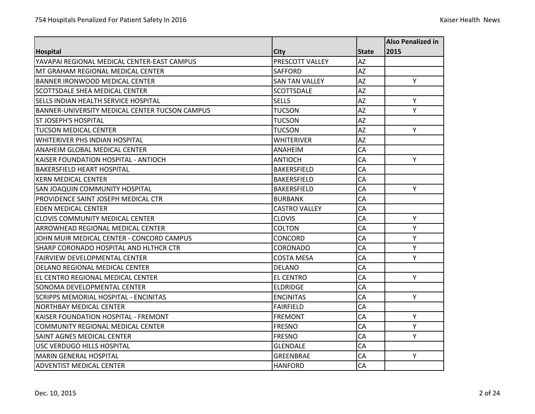|                                                |                       |              | <b>Also Penalized in</b> |
|------------------------------------------------|-----------------------|--------------|--------------------------|
| <b>Hospital</b>                                | <b>City</b>           | <b>State</b> | 2015                     |
| YAVAPAI REGIONAL MEDICAL CENTER-EAST CAMPUS    | PRESCOTT VALLEY       | <b>AZ</b>    |                          |
| MT GRAHAM REGIONAL MEDICAL CENTER              | <b>SAFFORD</b>        | <b>AZ</b>    |                          |
| <b>BANNER IRONWOOD MEDICAL CENTER</b>          | <b>SAN TAN VALLEY</b> | AZ           | Y                        |
| SCOTTSDALE SHEA MEDICAL CENTER                 | <b>SCOTTSDALE</b>     | AZ           |                          |
| SELLS INDIAN HEALTH SERVICE HOSPITAL           | <b>SELLS</b>          | AZ           | Y                        |
| BANNER-UNIVERSITY MEDICAL CENTER TUCSON CAMPUS | <b>TUCSON</b>         | AZ           | Y                        |
| <b>ST JOSEPH'S HOSPITAL</b>                    | <b>TUCSON</b>         | <b>AZ</b>    |                          |
| <b>TUCSON MEDICAL CENTER</b>                   | <b>TUCSON</b>         | AZ           | Y                        |
| <b>WHITERIVER PHS INDIAN HOSPITAL</b>          | <b>WHITERIVER</b>     | AZ           |                          |
| ANAHEIM GLOBAL MEDICAL CENTER                  | ANAHEIM               | CA           |                          |
| KAISER FOUNDATION HOSPITAL - ANTIOCH           | <b>ANTIOCH</b>        | CA           | Y                        |
| <b>BAKERSFIELD HEART HOSPITAL</b>              | <b>BAKERSFIELD</b>    | CA           |                          |
| <b>KERN MEDICAL CENTER</b>                     | <b>BAKERSFIELD</b>    | CA           |                          |
| <b>SAN JOAQUIN COMMUNITY HOSPITAL</b>          | <b>BAKERSFIELD</b>    | CA           | Y                        |
| PROVIDENCE SAINT JOSEPH MEDICAL CTR            | <b>BURBANK</b>        | CA           |                          |
| <b>EDEN MEDICAL CENTER</b>                     | <b>CASTRO VALLEY</b>  | CA           |                          |
| <b>CLOVIS COMMUNITY MEDICAL CENTER</b>         | <b>CLOVIS</b>         | CA           | Y                        |
| ARROWHEAD REGIONAL MEDICAL CENTER              | <b>COLTON</b>         | CA           | Y                        |
| JOHN MUIR MEDICAL CENTER - CONCORD CAMPUS      | CONCORD               | CA           | Y                        |
| SHARP CORONADO HOSPITAL AND HLTHCR CTR         | <b>CORONADO</b>       | CA           | Y                        |
| <b>FAIRVIEW DEVELOPMENTAL CENTER</b>           | <b>COSTA MESA</b>     | CA           | Y                        |
| <b>DELANO REGIONAL MEDICAL CENTER</b>          | <b>DELANO</b>         | CA           |                          |
| EL CENTRO REGIONAL MEDICAL CENTER              | <b>EL CENTRO</b>      | CA           | Y                        |
| SONOMA DEVELOPMENTAL CENTER                    | <b>ELDRIDGE</b>       | CA           |                          |
| SCRIPPS MEMORIAL HOSPITAL - ENCINITAS          | <b>ENCINITAS</b>      | CA           | Y                        |
| <b>NORTHBAY MEDICAL CENTER</b>                 | <b>FAIRFIELD</b>      | CA           |                          |
| KAISER FOUNDATION HOSPITAL - FREMONT           | <b>FREMONT</b>        | CA           | Υ                        |
| <b>COMMUNITY REGIONAL MEDICAL CENTER</b>       | <b>FRESNO</b>         | CA           | Y                        |
| SAINT AGNES MEDICAL CENTER                     | <b>FRESNO</b>         | CA           | Y                        |
| <b>USC VERDUGO HILLS HOSPITAL</b>              | <b>GLENDALE</b>       | CA           |                          |
| <b>MARIN GENERAL HOSPITAL</b>                  | <b>GREENBRAE</b>      | CA           | Y                        |
| ADVENTIST MEDICAL CENTER                       | <b>HANFORD</b>        | CA           |                          |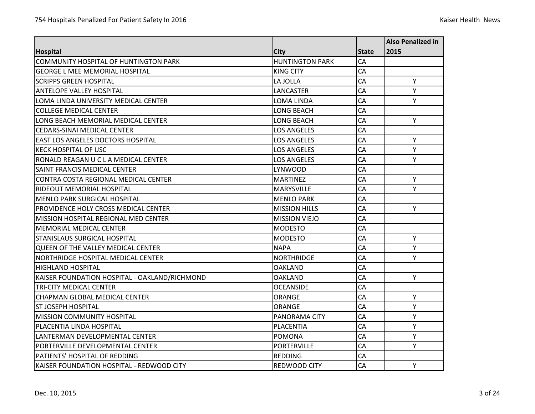|                                               |                        |              | <b>Also Penalized in</b> |
|-----------------------------------------------|------------------------|--------------|--------------------------|
| <b>Hospital</b>                               | <b>City</b>            | <b>State</b> | 2015                     |
| <b>COMMUNITY HOSPITAL OF HUNTINGTON PARK</b>  | <b>HUNTINGTON PARK</b> | CA           |                          |
| <b>GEORGE L MEE MEMORIAL HOSPITAL</b>         | <b>KING CITY</b>       | CA           |                          |
| <b>SCRIPPS GREEN HOSPITAL</b>                 | LA JOLLA               | CA           | Y                        |
| <b>ANTELOPE VALLEY HOSPITAL</b>               | LANCASTER              | CA           | Y                        |
| LOMA LINDA UNIVERSITY MEDICAL CENTER          | LOMA LINDA             | CA           | Υ                        |
| <b>COLLEGE MEDICAL CENTER</b>                 | <b>LONG BEACH</b>      | CA           |                          |
| LONG BEACH MEMORIAL MEDICAL CENTER            | <b>LONG BEACH</b>      | CA           | Y                        |
| <b>CEDARS-SINAI MEDICAL CENTER</b>            | <b>LOS ANGELES</b>     | CA           |                          |
| EAST LOS ANGELES DOCTORS HOSPITAL             | <b>LOS ANGELES</b>     | CA           | Y                        |
| <b>KECK HOSPITAL OF USC</b>                   | <b>LOS ANGELES</b>     | CA           | Υ                        |
| RONALD REAGAN U C L A MEDICAL CENTER          | <b>LOS ANGELES</b>     | CA           | Y                        |
| SAINT FRANCIS MEDICAL CENTER                  | LYNWOOD                | CA           |                          |
| CONTRA COSTA REGIONAL MEDICAL CENTER          | <b>MARTINEZ</b>        | CA           | Y                        |
| <b>RIDEOUT MEMORIAL HOSPITAL</b>              | <b>MARYSVILLE</b>      | CA           | Y                        |
| <b>MENLO PARK SURGICAL HOSPITAL</b>           | <b>MENLO PARK</b>      | CA           |                          |
| <b>PROVIDENCE HOLY CROSS MEDICAL CENTER</b>   | <b>MISSION HILLS</b>   | CA           | Υ                        |
| <b>MISSION HOSPITAL REGIONAL MED CENTER</b>   | <b>MISSION VIEJO</b>   | CA           |                          |
| <b>MEMORIAL MEDICAL CENTER</b>                | <b>MODESTO</b>         | CA           |                          |
| STANISLAUS SURGICAL HOSPITAL                  | <b>MODESTO</b>         | CA           | Υ                        |
| <b>QUEEN OF THE VALLEY MEDICAL CENTER</b>     | <b>NAPA</b>            | CA           | Y                        |
| NORTHRIDGE HOSPITAL MEDICAL CENTER            | <b>NORTHRIDGE</b>      | CA           | Y                        |
| <b>HIGHLAND HOSPITAL</b>                      | <b>OAKLAND</b>         | CA           |                          |
| KAISER FOUNDATION HOSPITAL - OAKLAND/RICHMOND | <b>OAKLAND</b>         | CA           | Y                        |
| <b>TRI-CITY MEDICAL CENTER</b>                | <b>OCEANSIDE</b>       | CA           |                          |
| CHAPMAN GLOBAL MEDICAL CENTER                 | ORANGE                 | CA           | Y                        |
| <b>ST JOSEPH HOSPITAL</b>                     | ORANGE                 | CA           | Y                        |
| MISSION COMMUNITY HOSPITAL                    | PANORAMA CITY          | CA           | Y                        |
| PLACENTIA LINDA HOSPITAL                      | <b>PLACENTIA</b>       | <b>CA</b>    | Y                        |
| LANTERMAN DEVELOPMENTAL CENTER                | POMONA                 | CA           | Υ                        |
| PORTERVILLE DEVELOPMENTAL CENTER              | <b>PORTERVILLE</b>     | CA           | Y                        |
| PATIENTS' HOSPITAL OF REDDING                 | <b>REDDING</b>         | CA           |                          |
| KAISER FOUNDATION HOSPITAL - REDWOOD CITY     | <b>REDWOOD CITY</b>    | CA           | Y                        |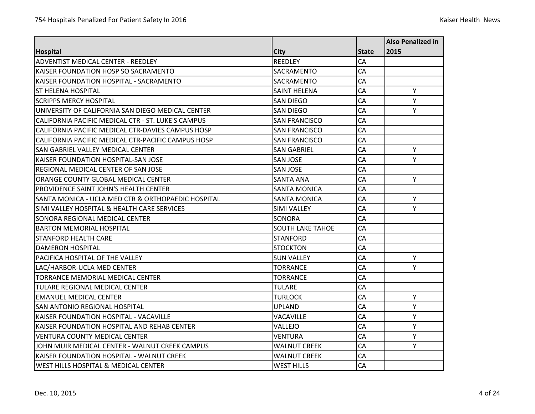|                                                    |                         |              | <b>Also Penalized in</b> |
|----------------------------------------------------|-------------------------|--------------|--------------------------|
| <b>Hospital</b>                                    | <b>City</b>             | <b>State</b> | 2015                     |
| <b>ADVENTIST MEDICAL CENTER - REEDLEY</b>          | <b>REEDLEY</b>          | CA           |                          |
| KAISER FOUNDATION HOSP SO SACRAMENTO               | <b>SACRAMENTO</b>       | CA           |                          |
| KAISER FOUNDATION HOSPITAL - SACRAMENTO            | SACRAMENTO              | CA           |                          |
| IST HELENA HOSPITAL                                | <b>SAINT HELENA</b>     | CA           | Y                        |
| <b>SCRIPPS MERCY HOSPITAL</b>                      | <b>SAN DIEGO</b>        | CA           | Y                        |
| UNIVERSITY OF CALIFORNIA SAN DIEGO MEDICAL CENTER  | <b>SAN DIEGO</b>        | CA           | Y                        |
| CALIFORNIA PACIFIC MEDICAL CTR - ST. LUKE'S CAMPUS | <b>SAN FRANCISCO</b>    | CA           |                          |
| CALIFORNIA PACIFIC MEDICAL CTR-DAVIES CAMPUS HOSP  | <b>SAN FRANCISCO</b>    | CA           |                          |
| CALIFORNIA PACIFIC MEDICAL CTR-PACIFIC CAMPUS HOSP | <b>SAN FRANCISCO</b>    | CA           |                          |
| SAN GABRIEL VALLEY MEDICAL CENTER                  | <b>SAN GABRIEL</b>      | CA           | Υ                        |
| KAISER FOUNDATION HOSPITAL-SAN JOSE                | <b>SAN JOSE</b>         | CA           | Υ                        |
| <b>REGIONAL MEDICAL CENTER OF SAN JOSE</b>         | <b>SAN JOSE</b>         | CA           |                          |
| ORANGE COUNTY GLOBAL MEDICAL CENTER                | <b>SANTA ANA</b>        | CA           | Y                        |
| <b>PROVIDENCE SAINT JOHN'S HEALTH CENTER</b>       | <b>SANTA MONICA</b>     | CA           |                          |
| SANTA MONICA - UCLA MED CTR & ORTHOPAEDIC HOSPITAL | <b>SANTA MONICA</b>     | CA           | Υ                        |
| SIMI VALLEY HOSPITAL & HEALTH CARE SERVICES        | <b>SIMI VALLEY</b>      | CA           | Y                        |
| SONORA REGIONAL MEDICAL CENTER                     | <b>SONORA</b>           | CA           |                          |
| <b>BARTON MEMORIAL HOSPITAL</b>                    | <b>SOUTH LAKE TAHOE</b> | CA           |                          |
| <b>STANFORD HEALTH CARE</b>                        | <b>STANFORD</b>         | CA           |                          |
| <b>DAMERON HOSPITAL</b>                            | <b>STOCKTON</b>         | CA           |                          |
| PACIFICA HOSPITAL OF THE VALLEY                    | <b>SUN VALLEY</b>       | CA           | Y                        |
| LAC/HARBOR-UCLA MED CENTER                         | <b>TORRANCE</b>         | CA           | Y                        |
| TORRANCE MEMORIAL MEDICAL CENTER                   | <b>TORRANCE</b>         | CA           |                          |
| <b>TULARE REGIONAL MEDICAL CENTER</b>              | <b>TULARE</b>           | CA           |                          |
| EMANUEL MEDICAL CENTER                             | <b>TURLOCK</b>          | CA           | Υ                        |
| ISAN ANTONIO REGIONAL HOSPITAL                     | <b>UPLAND</b>           | CA           | Y                        |
| KAISER FOUNDATION HOSPITAL - VACAVILLE             | <b>VACAVILLE</b>        | CA           | Y                        |
| KAISER FOUNDATION HOSPITAL AND REHAB CENTER        | VALLEJO                 | CA           | Y                        |
| VENTURA COUNTY MEDICAL CENTER                      | <b>VENTURA</b>          | CA           | Y                        |
| JOHN MUIR MEDICAL CENTER - WALNUT CREEK CAMPUS     | <b>WALNUT CREEK</b>     | CA           | Υ                        |
| KAISER FOUNDATION HOSPITAL - WALNUT CREEK          | <b>WALNUT CREEK</b>     | CA           |                          |
| <b>WEST HILLS HOSPITAL &amp; MEDICAL CENTER</b>    | <b>WEST HILLS</b>       | CA           |                          |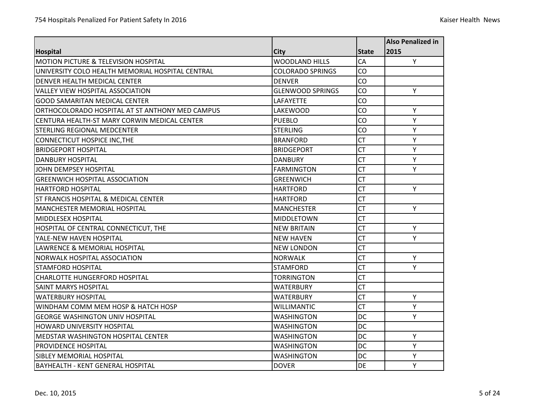| <b>Hospital</b>                                  | <b>City</b>             | <b>State</b> | <b>Also Penalized in</b> |
|--------------------------------------------------|-------------------------|--------------|--------------------------|
|                                                  |                         |              | 2015                     |
| <b>MOTION PICTURE &amp; TELEVISION HOSPITAL</b>  | <b>WOODLAND HILLS</b>   | CA           | Y                        |
| UNIVERSITY COLO HEALTH MEMORIAL HOSPITAL CENTRAL | <b>COLORADO SPRINGS</b> | CO           |                          |
| <b>DENVER HEALTH MEDICAL CENTER</b>              | <b>DENVER</b>           | CO           |                          |
| <b>VALLEY VIEW HOSPITAL ASSOCIATION</b>          | <b>GLENWOOD SPRINGS</b> | CO           | Y                        |
| <b>GOOD SAMARITAN MEDICAL CENTER</b>             | LAFAYETTE               | CO           |                          |
| ORTHOCOLORADO HOSPITAL AT ST ANTHONY MED CAMPUS  | <b>LAKEWOOD</b>         | CO           | Y                        |
| CENTURA HEALTH-ST MARY CORWIN MEDICAL CENTER     | <b>PUEBLO</b>           | CO           | Y                        |
| <b>STERLING REGIONAL MEDCENTER</b>               | <b>STERLING</b>         | CO           | Y                        |
| <b>CONNECTICUT HOSPICE INC, THE</b>              | <b>BRANFORD</b>         | <b>CT</b>    | Υ                        |
| <b>BRIDGEPORT HOSPITAL</b>                       | <b>BRIDGEPORT</b>       | <b>CT</b>    | Υ                        |
| <b>DANBURY HOSPITAL</b>                          | <b>DANBURY</b>          | <b>CT</b>    | Y                        |
| <b>JOHN DEMPSEY HOSPITAL</b>                     | <b>FARMINGTON</b>       | <b>CT</b>    | Y                        |
| <b>GREENWICH HOSPITAL ASSOCIATION</b>            | <b>GREENWICH</b>        | <b>CT</b>    |                          |
| <b>HARTFORD HOSPITAL</b>                         | <b>HARTFORD</b>         | <b>CT</b>    | Y                        |
| ST FRANCIS HOSPITAL & MEDICAL CENTER             | HARTFORD                | <b>CT</b>    |                          |
| <b>MANCHESTER MEMORIAL HOSPITAL</b>              | <b>MANCHESTER</b>       | <b>CT</b>    | Y                        |
| <b>MIDDLESEX HOSPITAL</b>                        | MIDDLETOWN              | <b>CT</b>    |                          |
| HOSPITAL OF CENTRAL CONNECTICUT, THE             | <b>NEW BRITAIN</b>      | <b>CT</b>    | Y                        |
| YALE-NEW HAVEN HOSPITAL                          | <b>NEW HAVEN</b>        | <b>CT</b>    | Y                        |
| LAWRENCE & MEMORIAL HOSPITAL                     | <b>NEW LONDON</b>       | <b>CT</b>    |                          |
| <b>NORWALK HOSPITAL ASSOCIATION</b>              | <b>NORWALK</b>          | <b>CT</b>    | Y                        |
| STAMFORD HOSPITAL                                | <b>STAMFORD</b>         | <b>CT</b>    | Y                        |
| <b>CHARLOTTE HUNGERFORD HOSPITAL</b>             | <b>TORRINGTON</b>       | <b>CT</b>    |                          |
| <b>SAINT MARYS HOSPITAL</b>                      | <b>WATERBURY</b>        | <b>CT</b>    |                          |
| <b>WATERBURY HOSPITAL</b>                        | <b>WATERBURY</b>        | <b>CT</b>    | Y                        |
| WINDHAM COMM MEM HOSP & HATCH HOSP               | <b>WILLIMANTIC</b>      | <b>CT</b>    | Y                        |
| <b>GEORGE WASHINGTON UNIV HOSPITAL</b>           | <b>WASHINGTON</b>       | <b>DC</b>    | Υ                        |
| <b>HOWARD UNIVERSITY HOSPITAL</b>                | <b>WASHINGTON</b>       | <b>DC</b>    |                          |
| MEDSTAR WASHINGTON HOSPITAL CENTER               | <b>WASHINGTON</b>       | <b>DC</b>    | Υ                        |
| <b>PROVIDENCE HOSPITAL</b>                       | <b>WASHINGTON</b>       | <b>DC</b>    | Y                        |
| <b>SIBLEY MEMORIAL HOSPITAL</b>                  | <b>WASHINGTON</b>       | <b>DC</b>    | Υ                        |
| <b>BAYHEALTH - KENT GENERAL HOSPITAL</b>         | <b>DOVER</b>            | <b>DE</b>    | Y                        |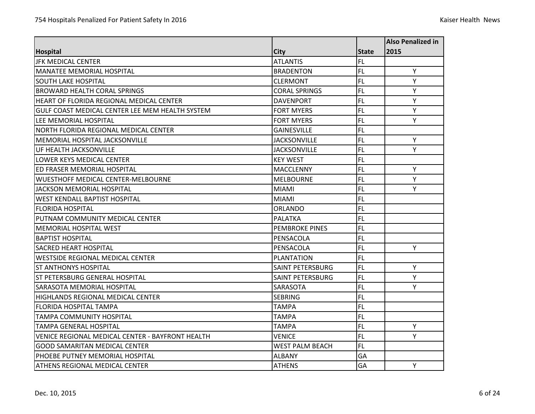|                                                  |                         |              | <b>Also Penalized in</b> |
|--------------------------------------------------|-------------------------|--------------|--------------------------|
| <b>Hospital</b>                                  | <b>City</b>             | <b>State</b> | 2015                     |
| <b>JFK MEDICAL CENTER</b>                        | <b>ATLANTIS</b>         | FL           |                          |
| <b>MANATEE MEMORIAL HOSPITAL</b>                 | <b>BRADENTON</b>        | FL.          | Y                        |
| <b>SOUTH LAKE HOSPITAL</b>                       | <b>CLERMONT</b>         | <b>FL</b>    | Υ                        |
| <b>BROWARD HEALTH CORAL SPRINGS</b>              | <b>CORAL SPRINGS</b>    | <b>FL</b>    | Y                        |
| HEART OF FLORIDA REGIONAL MEDICAL CENTER         | <b>DAVENPORT</b>        | <b>FL</b>    | Υ                        |
| GULF COAST MEDICAL CENTER LEE MEM HEALTH SYSTEM  | <b>FORT MYERS</b>       | <b>FL</b>    | Υ                        |
| LEE MEMORIAL HOSPITAL                            | <b>FORT MYERS</b>       | <b>FL</b>    | Y                        |
| NORTH FLORIDA REGIONAL MEDICAL CENTER            | <b>GAINESVILLE</b>      | <b>FL</b>    |                          |
| MEMORIAL HOSPITAL JACKSONVILLE                   | <b>JACKSONVILLE</b>     | FL.          | Υ                        |
| UF HEALTH JACKSONVILLE                           | <b>JACKSONVILLE</b>     | FL.          | Y                        |
| <b>LOWER KEYS MEDICAL CENTER</b>                 | <b>KEY WEST</b>         | FL.          |                          |
| ED FRASER MEMORIAL HOSPITAL                      | <b>MACCLENNY</b>        | <b>FL</b>    | Y                        |
| <b>WUESTHOFF MEDICAL CENTER-MELBOURNE</b>        | <b>MELBOURNE</b>        | <b>FL</b>    | Y                        |
| <b>JACKSON MEMORIAL HOSPITAL</b>                 | <b>MIAMI</b>            | <b>FL</b>    | Υ                        |
| <b>WEST KENDALL BAPTIST HOSPITAL</b>             | <b>MIAMI</b>            | <b>FL</b>    |                          |
| <b>FLORIDA HOSPITAL</b>                          | <b>ORLANDO</b>          | FL           |                          |
| PUTNAM COMMUNITY MEDICAL CENTER                  | <b>PALATKA</b>          | <b>FL</b>    |                          |
| MEMORIAL HOSPITAL WEST                           | <b>PEMBROKE PINES</b>   | <b>FL</b>    |                          |
| <b>BAPTIST HOSPITAL</b>                          | PENSACOLA               | FL           |                          |
| <b>SACRED HEART HOSPITAL</b>                     | PENSACOLA               | FL.          | Υ                        |
| <b>WESTSIDE REGIONAL MEDICAL CENTER</b>          | <b>PLANTATION</b>       | <b>FL</b>    |                          |
| <b>ST ANTHONYS HOSPITAL</b>                      | <b>SAINT PETERSBURG</b> | <b>FL</b>    | Y                        |
| <b>ST PETERSBURG GENERAL HOSPITAL</b>            | <b>SAINT PETERSBURG</b> | <b>FL</b>    | Υ                        |
| SARASOTA MEMORIAL HOSPITAL                       | SARASOTA                | <b>FL</b>    | Y                        |
| HIGHLANDS REGIONAL MEDICAL CENTER                | <b>SEBRING</b>          | FL.          |                          |
| <b>FLORIDA HOSPITAL TAMPA</b>                    | <b>TAMPA</b>            | <b>FL</b>    |                          |
| <b>TAMPA COMMUNITY HOSPITAL</b>                  | <b>TAMPA</b>            | <b>FL</b>    |                          |
| <b>TAMPA GENERAL HOSPITAL</b>                    | <b>TAMPA</b>            | FL           | Y                        |
| VENICE REGIONAL MEDICAL CENTER - BAYFRONT HEALTH | VENICE                  | FL.          | Y                        |
| <b>GOOD SAMARITAN MEDICAL CENTER</b>             | <b>WEST PALM BEACH</b>  | FL.          |                          |
| PHOEBE PUTNEY MEMORIAL HOSPITAL                  | <b>ALBANY</b>           | GA           |                          |
| ATHENS REGIONAL MEDICAL CENTER                   | <b>ATHENS</b>           | GA           | Y                        |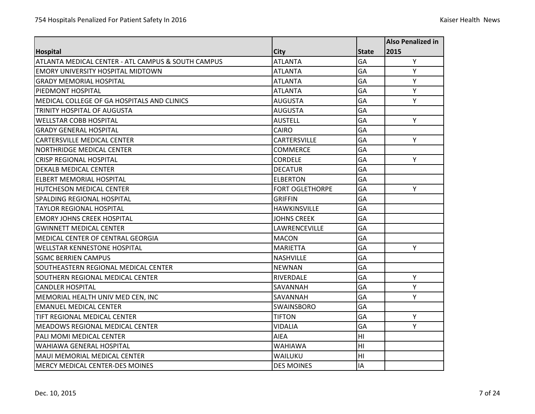|                                                    |                        |              | <b>Also Penalized in</b> |
|----------------------------------------------------|------------------------|--------------|--------------------------|
| <b>Hospital</b>                                    | <b>City</b>            | <b>State</b> | 2015                     |
| ATLANTA MEDICAL CENTER - ATL CAMPUS & SOUTH CAMPUS | <b>ATLANTA</b>         | GA           | Y                        |
| <b>EMORY UNIVERSITY HOSPITAL MIDTOWN</b>           | <b>ATLANTA</b>         | <b>GA</b>    | Υ                        |
| <b>GRADY MEMORIAL HOSPITAL</b>                     | ATLANTA                | GA           | Υ                        |
| PIEDMONT HOSPITAL                                  | <b>ATLANTA</b>         | GA           | Y                        |
| <b>MEDICAL COLLEGE OF GA HOSPITALS AND CLINICS</b> | <b>AUGUSTA</b>         | GA           | Y                        |
| <b>TRINITY HOSPITAL OF AUGUSTA</b>                 | <b>AUGUSTA</b>         | GA           |                          |
| <b>WELLSTAR COBB HOSPITAL</b>                      | <b>AUSTELL</b>         | <b>GA</b>    | Y                        |
| <b>GRADY GENERAL HOSPITAL</b>                      | CAIRO                  | GA           |                          |
| <b>CARTERSVILLE MEDICAL CENTER</b>                 | CARTERSVILLE           | <b>GA</b>    | Y                        |
| NORTHRIDGE MEDICAL CENTER                          | <b>COMMERCE</b>        | GA           |                          |
| <b>CRISP REGIONAL HOSPITAL</b>                     | <b>CORDELE</b>         | GA           | Y                        |
| <b>DEKALB MEDICAL CENTER</b>                       | <b>DECATUR</b>         | <b>GA</b>    |                          |
| <b>ELBERT MEMORIAL HOSPITAL</b>                    | <b>ELBERTON</b>        | GA           |                          |
| <b>HUTCHESON MEDICAL CENTER</b>                    | <b>FORT OGLETHORPE</b> | <b>GA</b>    | Y                        |
| SPALDING REGIONAL HOSPITAL                         | <b>GRIFFIN</b>         | GA           |                          |
| <b>TAYLOR REGIONAL HOSPITAL</b>                    | <b>HAWKINSVILLE</b>    | GA           |                          |
| <b>EMORY JOHNS CREEK HOSPITAL</b>                  | <b>JOHNS CREEK</b>     | GA           |                          |
| <b>GWINNETT MEDICAL CENTER</b>                     | LAWRENCEVILLE          | GA           |                          |
| MEDICAL CENTER OF CENTRAL GEORGIA                  | <b>MACON</b>           | GA           |                          |
| <b>WELLSTAR KENNESTONE HOSPITAL</b>                | <b>MARIETTA</b>        | GA           | Υ                        |
| <b>SGMC BERRIEN CAMPUS</b>                         | <b>NASHVILLE</b>       | GA           |                          |
| SOUTHEASTERN REGIONAL MEDICAL CENTER               | <b>NEWNAN</b>          | GA           |                          |
| SOUTHERN REGIONAL MEDICAL CENTER                   | RIVERDALE              | GA           | Y                        |
| <b>CANDLER HOSPITAL</b>                            | SAVANNAH               | GA           | Y                        |
| MEMORIAL HEALTH UNIV MED CEN, INC                  | SAVANNAH               | GA           | Υ                        |
| <b>EMANUEL MEDICAL CENTER</b>                      | <b>SWAINSBORO</b>      | <b>GA</b>    |                          |
| <b>TIFT REGIONAL MEDICAL CENTER</b>                | <b>TIFTON</b>          | GA           | Y                        |
| MEADOWS REGIONAL MEDICAL CENTER                    | <b>VIDALIA</b>         | GA           | Y                        |
| PALI MOMI MEDICAL CENTER                           | <b>AIEA</b>            | H1           |                          |
| <b>WAHIAWA GENERAL HOSPITAL</b>                    | <b>WAHIAWA</b>         | H1           |                          |
| MAUI MEMORIAL MEDICAL CENTER                       | WAILUKU                | H1           |                          |
| MERCY MEDICAL CENTER-DES MOINES                    | <b>DES MOINES</b>      | IA           |                          |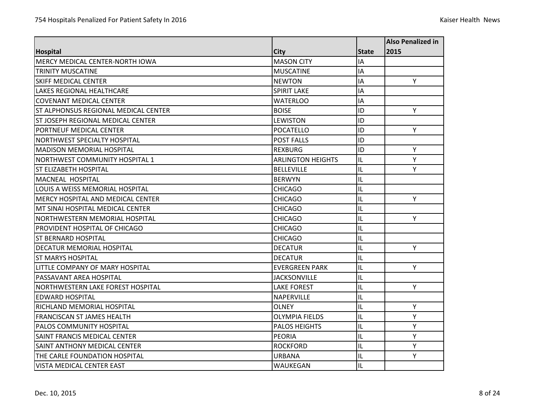|                                          |                          |              | <b>Also Penalized in</b> |
|------------------------------------------|--------------------------|--------------|--------------------------|
| <b>Hospital</b>                          | <b>City</b>              | <b>State</b> | 2015                     |
| <b>MERCY MEDICAL CENTER-NORTH IOWA</b>   | <b>MASON CITY</b>        | IA           |                          |
| <b>TRINITY MUSCATINE</b>                 | <b>MUSCATINE</b>         | IA           |                          |
| <b>SKIFF MEDICAL CENTER</b>              | <b>NEWTON</b>            | IA           | Y                        |
| <b>LAKES REGIONAL HEALTHCARE</b>         | <b>SPIRIT LAKE</b>       | IA           |                          |
| <b>COVENANT MEDICAL CENTER</b>           | WATERLOO                 | IA           |                          |
| ST ALPHONSUS REGIONAL MEDICAL CENTER     | <b>BOISE</b>             | ID           | Y                        |
| ST JOSEPH REGIONAL MEDICAL CENTER        | LEWISTON                 | ID           |                          |
| PORTNEUF MEDICAL CENTER                  | <b>POCATELLO</b>         | ID           | Y                        |
| <b>NORTHWEST SPECIALTY HOSPITAL</b>      | <b>POST FALLS</b>        | ID           |                          |
| <b>MADISON MEMORIAL HOSPITAL</b>         | <b>REXBURG</b>           | ID           | Y                        |
| <b>NORTHWEST COMMUNITY HOSPITAL 1</b>    | <b>ARLINGTON HEIGHTS</b> | IL           | Y                        |
| <b>ST ELIZABETH HOSPITAL</b>             | <b>BELLEVILLE</b>        | IL           | Y                        |
| MACNEAL HOSPITAL                         | <b>BERWYN</b>            | IL           |                          |
| LOUIS A WEISS MEMORIAL HOSPITAL          | <b>CHICAGO</b>           | IL           |                          |
| MERCY HOSPITAL AND MEDICAL CENTER        | <b>CHICAGO</b>           | IL           | Y                        |
| MT SINAI HOSPITAL MEDICAL CENTER         | <b>CHICAGO</b>           | IL           |                          |
| NORTHWESTERN MEMORIAL HOSPITAL           | <b>CHICAGO</b>           | IL           | Y                        |
| <b>PROVIDENT HOSPITAL OF CHICAGO</b>     | <b>CHICAGO</b>           | IL           |                          |
| <b>ST BERNARD HOSPITAL</b>               | <b>CHICAGO</b>           | IL           |                          |
| DECATUR MEMORIAL HOSPITAL                | <b>DECATUR</b>           | IL           | Y                        |
| <b>IST MARYS HOSPITAL</b>                | <b>DECATUR</b>           | IL           |                          |
| LLITTLE COMPANY OF MARY HOSPITAL         | <b>EVERGREEN PARK</b>    | IL           | Y                        |
| PASSAVANT AREA HOSPITAL                  | <b>JACKSONVILLE</b>      | IL           |                          |
| <b>NORTHWESTERN LAKE FOREST HOSPITAL</b> | <b>LAKE FOREST</b>       | IL           | Y                        |
| <b>EDWARD HOSPITAL</b>                   | <b>NAPERVILLE</b>        | IL           |                          |
| <b>RICHLAND MEMORIAL HOSPITAL</b>        | <b>OLNEY</b>             | IL           | Y                        |
| <b>FRANCISCAN ST JAMES HEALTH</b>        | <b>OLYMPIA FIELDS</b>    | IL           | Y                        |
| <b>PALOS COMMUNITY HOSPITAL</b>          | <b>PALOS HEIGHTS</b>     | IL           | Y                        |
| <b>SAINT FRANCIS MEDICAL CENTER</b>      | <b>PEORIA</b>            | IL           | Y                        |
| <b>SAINT ANTHONY MEDICAL CENTER</b>      | <b>ROCKFORD</b>          | IL           | Y                        |
| THE CARLE FOUNDATION HOSPITAL            | <b>URBANA</b>            | IL           | Y                        |
| VISTA MEDICAL CENTER EAST                | WAUKEGAN                 | IL           |                          |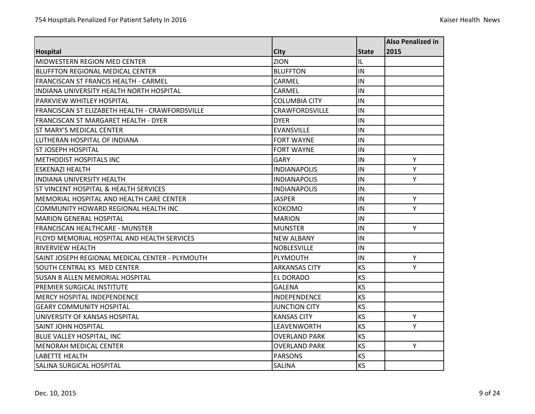|                                                        |                       |              | <b>Also Penalized in</b> |
|--------------------------------------------------------|-----------------------|--------------|--------------------------|
| <b>Hospital</b>                                        | <b>City</b>           | <b>State</b> | 2015                     |
| MIDWESTERN REGION MED CENTER                           | <b>ZION</b>           | IL           |                          |
| <b>BLUFFTON REGIONAL MEDICAL CENTER</b>                | <b>BLUFFTON</b>       | IN           |                          |
| <b>FRANCISCAN ST FRANCIS HEALTH - CARMEL</b>           | CARMEL                | IN           |                          |
| <b>INDIANA UNIVERSITY HEALTH NORTH HOSPITAL</b>        | CARMEL                | IN           |                          |
| <b>PARKVIEW WHITLEY HOSPITAL</b>                       | <b>COLUMBIA CITY</b>  | İIN          |                          |
| <b>FRANCISCAN ST ELIZABETH HEALTH - CRAWFORDSVILLE</b> | <b>CRAWFORDSVILLE</b> | İIN          |                          |
| FRANCISCAN ST MARGARET HEALTH - DYER                   | <b>DYER</b>           | IN           |                          |
| <b>ST MARY'S MEDICAL CENTER</b>                        | <b>EVANSVILLE</b>     | İIN          |                          |
| LUTHERAN HOSPITAL OF INDIANA                           | <b>FORT WAYNE</b>     | IN           |                          |
| IST JOSEPH HOSPITAL                                    | <b>FORT WAYNE</b>     | IN           |                          |
| <b>METHODIST HOSPITALS INC</b>                         | <b>GARY</b>           | IN           | Υ                        |
| <b>ESKENAZI HEALTH</b>                                 | <b>INDIANAPOLIS</b>   | IN           | Y                        |
| <b>INDIANA UNIVERSITY HEALTH</b>                       | <b>INDIANAPOLIS</b>   | İIN          | Y                        |
| <b>ST VINCENT HOSPITAL &amp; HEALTH SERVICES</b>       | <b>INDIANAPOLIS</b>   | IN           |                          |
| MEMORIAL HOSPITAL AND HEALTH CARE CENTER               | JASPER                | IN           | Y                        |
| COMMUNITY HOWARD REGIONAL HEALTH INC                   | <b>KOKOMO</b>         | IN           | Y                        |
| <b>MARION GENERAL HOSPITAL</b>                         | <b>MARION</b>         | IN           |                          |
| FRANCISCAN HEALTHCARE - MUNSTER                        | <b>MUNSTER</b>        | İIN          | Y                        |
| FLOYD MEMORIAL HOSPITAL AND HEALTH SERVICES            | <b>NEW ALBANY</b>     | IN           |                          |
| <b>RIVERVIEW HEALTH</b>                                | <b>NOBLESVILLE</b>    | IN           |                          |
| SAINT JOSEPH REGIONAL MEDICAL CENTER - PLYMOUTH        | PLYMOUTH              | IN           | Y                        |
| SOUTH CENTRAL KS MED CENTER                            | <b>ARKANSAS CITY</b>  | <b>KS</b>    | Y                        |
| <b>SUSAN B ALLEN MEMORIAL HOSPITAL</b>                 | <b>EL DORADO</b>      | <b>KS</b>    |                          |
| <b>PREMIER SURGICAL INSTITUTE</b>                      | <b>GALENA</b>         | <b>KS</b>    |                          |
| IMERCY HOSPITAL INDEPENDENCE                           | <b>INDEPENDENCE</b>   | KS           |                          |
| <b>GEARY COMMUNITY HOSPITAL</b>                        | <b>JUNCTION CITY</b>  | KS           |                          |
| UNIVERSITY OF KANSAS HOSPITAL                          | <b>KANSAS CITY</b>    | <b>KS</b>    | Y                        |
| <b>SAINT JOHN HOSPITAL</b>                             | LEAVENWORTH           | <b>KS</b>    | Y                        |
| <b>BLUE VALLEY HOSPITAL, INC</b>                       | <b>OVERLAND PARK</b>  | <b>KS</b>    |                          |
| <b>MENORAH MEDICAL CENTER</b>                          | <b>OVERLAND PARK</b>  | <b>KS</b>    | Υ                        |
| LABETTE HEALTH                                         | <b>PARSONS</b>        | KS           |                          |
| <b>SALINA SURGICAL HOSPITAL</b>                        | <b>SALINA</b>         | <b>KS</b>    |                          |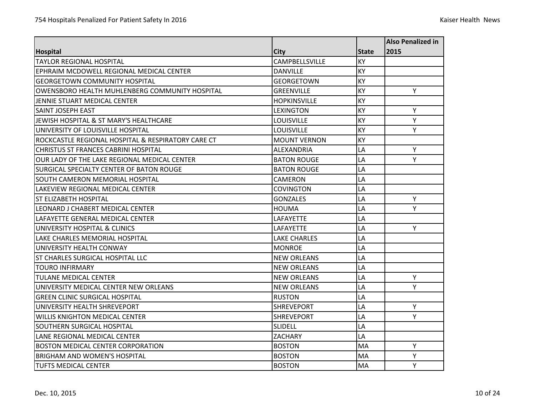|                                                    |                     |              | <b>Also Penalized in</b> |
|----------------------------------------------------|---------------------|--------------|--------------------------|
| <b>Hospital</b>                                    | <b>City</b>         | <b>State</b> | 2015                     |
| <b>TAYLOR REGIONAL HOSPITAL</b>                    | CAMPBELLSVILLE      | KY           |                          |
| EPHRAIM MCDOWELL REGIONAL MEDICAL CENTER           | <b>DANVILLE</b>     | KY           |                          |
| <b>GEORGETOWN COMMUNITY HOSPITAL</b>               | <b>GEORGETOWN</b>   | <b>KY</b>    |                          |
| OWENSBORO HEALTH MUHLENBERG COMMUNITY HOSPITAL     | <b>GREENVILLE</b>   | KY           | Y                        |
| JENNIE STUART MEDICAL CENTER                       | <b>HOPKINSVILLE</b> | KY           |                          |
| <b>SAINT JOSEPH EAST</b>                           | <b>LEXINGTON</b>    | KY           | Y                        |
| JEWISH HOSPITAL & ST MARY'S HEALTHCARE             | <b>LOUISVILLE</b>   | KY           | Y                        |
| UNIVERSITY OF LOUISVILLE HOSPITAL                  | <b>LOUISVILLE</b>   | KY           | Y                        |
| ROCKCASTLE REGIONAL HOSPITAL & RESPIRATORY CARE CT | <b>MOUNT VERNON</b> | KY           |                          |
| <b>CHRISTUS ST FRANCES CABRINI HOSPITAL</b>        | ALEXANDRIA          | LA           | Y                        |
| OUR LADY OF THE LAKE REGIONAL MEDICAL CENTER       | <b>BATON ROUGE</b>  | LA           | Y                        |
| <b>SURGICAL SPECIALTY CENTER OF BATON ROUGE</b>    | <b>BATON ROUGE</b>  | LA           |                          |
| SOUTH CAMERON MEMORIAL HOSPITAL                    | <b>CAMERON</b>      | LA           |                          |
| LAKEVIEW REGIONAL MEDICAL CENTER                   | <b>COVINGTON</b>    | LA           |                          |
| <b>ST ELIZABETH HOSPITAL</b>                       | <b>GONZALES</b>     | LA           | Y                        |
| LEONARD J CHABERT MEDICAL CENTER                   | <b>HOUMA</b>        | LA           | Y                        |
| LAFAYETTE GENERAL MEDICAL CENTER                   | LAFAYETTE           | LA           |                          |
| UNIVERSITY HOSPITAL & CLINICS                      | <b>LAFAYETTE</b>    | LA           | Y                        |
| <b>LAKE CHARLES MEMORIAL HOSPITAL</b>              | <b>LAKE CHARLES</b> | LA           |                          |
| UNIVERSITY HEALTH CONWAY                           | <b>MONROE</b>       | LA           |                          |
| IST CHARLES SURGICAL HOSPITAL LLC                  | <b>NEW ORLEANS</b>  | LA           |                          |
| <b>TOURO INFIRMARY</b>                             | <b>NEW ORLEANS</b>  | LA           |                          |
| <b>TULANE MEDICAL CENTER</b>                       | <b>NEW ORLEANS</b>  | LA           | Y                        |
| UNIVERSITY MEDICAL CENTER NEW ORLEANS              | <b>NEW ORLEANS</b>  | LA           | Y                        |
| <b>GREEN CLINIC SURGICAL HOSPITAL</b>              | <b>RUSTON</b>       | LA           |                          |
| UNIVERSITY HEALTH SHREVEPORT                       | <b>SHREVEPORT</b>   | LA           | Y                        |
| <b>WILLIS KNIGHTON MEDICAL CENTER</b>              | <b>SHREVEPORT</b>   | LA           | Y                        |
| <b>SOUTHERN SURGICAL HOSPITAL</b>                  | <b>SLIDELL</b>      | LA           |                          |
| LANE REGIONAL MEDICAL CENTER                       | <b>ZACHARY</b>      | LA           |                          |
| <b>BOSTON MEDICAL CENTER CORPORATION</b>           | <b>BOSTON</b>       | MA           | Y                        |
| <b>BRIGHAM AND WOMEN'S HOSPITAL</b>                | <b>BOSTON</b>       | MA           | Y                        |
| <b>TUFTS MEDICAL CENTER</b>                        | <b>BOSTON</b>       | MA           | Y                        |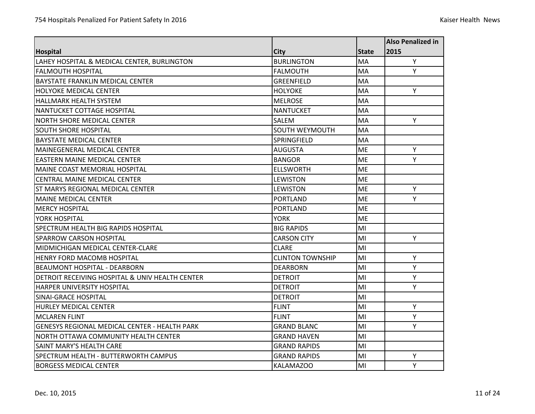|                                                      |                         |              | <b>Also Penalized in</b> |
|------------------------------------------------------|-------------------------|--------------|--------------------------|
| <b>Hospital</b>                                      | <b>City</b>             | <b>State</b> | 2015                     |
| LAHEY HOSPITAL & MEDICAL CENTER, BURLINGTON          | <b>BURLINGTON</b>       | MA           | Υ                        |
| <b>FALMOUTH HOSPITAL</b>                             | <b>FALMOUTH</b>         | <b>MA</b>    | Y                        |
| BAYSTATE FRANKLIN MEDICAL CENTER                     | <b>GREENFIELD</b>       | MA           |                          |
| <b>HOLYOKE MEDICAL CENTER</b>                        | <b>HOLYOKE</b>          | <b>MA</b>    | Y                        |
| HALLMARK HEALTH SYSTEM                               | <b>MELROSE</b>          | MA           |                          |
| NANTUCKET COTTAGE HOSPITAL                           | <b>NANTUCKET</b>        | MA           |                          |
| NORTH SHORE MEDICAL CENTER                           | SALEM                   | MA           | Y                        |
| <b>SOUTH SHORE HOSPITAL</b>                          | SOUTH WEYMOUTH          | <b>MA</b>    |                          |
| <b>BAYSTATE MEDICAL CENTER</b>                       | SPRINGFIELD             | MA           |                          |
| MAINEGENERAL MEDICAL CENTER                          | <b>AUGUSTA</b>          | <b>ME</b>    | Y                        |
| <b>FASTERN MAINE MEDICAL CENTER</b>                  | <b>BANGOR</b>           | <b>ME</b>    | Y                        |
| <b>MAINE COAST MEMORIAL HOSPITAL</b>                 | <b>ELLSWORTH</b>        | <b>ME</b>    |                          |
| CENTRAL MAINE MEDICAL CENTER                         | <b>LEWISTON</b>         | <b>ME</b>    |                          |
| <b>ST MARYS REGIONAL MEDICAL CENTER</b>              | <b>LEWISTON</b>         | <b>ME</b>    | Y                        |
| <b>MAINE MEDICAL CENTER</b>                          | <b>PORTLAND</b>         | ME           | Y                        |
| <b>MERCY HOSPITAL</b>                                | <b>PORTLAND</b>         | <b>ME</b>    |                          |
| YORK HOSPITAL                                        | <b>YORK</b>             | <b>ME</b>    |                          |
| SPECTRUM HEALTH BIG RAPIDS HOSPITAL                  | <b>BIG RAPIDS</b>       | MI           |                          |
| SPARROW CARSON HOSPITAL                              | <b>CARSON CITY</b>      | MI           | Y                        |
| MIDMICHIGAN MEDICAL CENTER-CLARE                     | <b>CLARE</b>            | MI           |                          |
| <b>HENRY FORD MACOMB HOSPITAL</b>                    | <b>CLINTON TOWNSHIP</b> | MI           | Υ                        |
| <b>BEAUMONT HOSPITAL - DEARBORN</b>                  | <b>DEARBORN</b>         | MI           | Y                        |
| DETROIT RECEIVING HOSPITAL & UNIV HEALTH CENTER      | <b>DETROIT</b>          | MI           | Υ                        |
| <b>HARPER UNIVERSITY HOSPITAL</b>                    | <b>DETROIT</b>          | MI           | Y                        |
| SINAI-GRACE HOSPITAL                                 | <b>DETROIT</b>          | MI           |                          |
| <b>HURLEY MEDICAL CENTER</b>                         | <b>FLINT</b>            | MI           | Υ                        |
| <b>MCLAREN FLINT</b>                                 | <b>FLINT</b>            | MI           | Y                        |
| <b>GENESYS REGIONAL MEDICAL CENTER - HEALTH PARK</b> | <b>GRAND BLANC</b>      | MI           | Y                        |
| NORTH OTTAWA COMMUNITY HEALTH CENTER                 | <b>GRAND HAVEN</b>      | MI           |                          |
| SAINT MARY'S HEALTH CARE                             | GRAND RAPIDS            | MI           |                          |
| <b>SPECTRUM HEALTH - BUTTERWORTH CAMPUS</b>          | <b>GRAND RAPIDS</b>     | MI           | Υ                        |
| <b>BORGESS MEDICAL CENTER</b>                        | KALAMAZOO               | MI           | Y                        |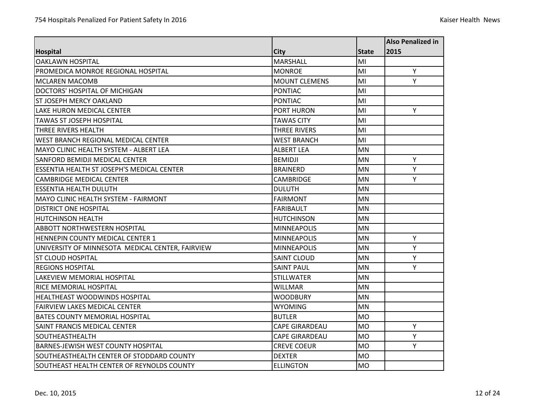|                                                  |                       |              | <b>Also Penalized in</b> |
|--------------------------------------------------|-----------------------|--------------|--------------------------|
| <b>Hospital</b>                                  | <b>City</b>           | <b>State</b> | 2015                     |
| <b>OAKLAWN HOSPITAL</b>                          | <b>MARSHALL</b>       | MI           |                          |
| PROMEDICA MONROE REGIONAL HOSPITAL               | <b>MONROE</b>         | MI           | Y                        |
| <b>MCLAREN MACOMB</b>                            | <b>MOUNT CLEMENS</b>  | MI           | Y                        |
| DOCTORS' HOSPITAL OF MICHIGAN                    | <b>PONTIAC</b>        | MI           |                          |
| ST JOSEPH MERCY OAKLAND                          | <b>PONTIAC</b>        | MI           |                          |
| LAKE HURON MEDICAL CENTER                        | <b>PORT HURON</b>     | MI           | Y                        |
| <b>TAWAS ST JOSEPH HOSPITAL</b>                  | <b>TAWAS CITY</b>     | MI           |                          |
| <b>THREE RIVERS HEALTH</b>                       | <b>THREE RIVERS</b>   | MI           |                          |
| WEST BRANCH REGIONAL MEDICAL CENTER              | <b>WEST BRANCH</b>    | MI           |                          |
| MAYO CLINIC HEALTH SYSTEM - ALBERT LEA           | <b>ALBERT LEA</b>     | <b>MN</b>    |                          |
| <b>SANFORD BEMIDJI MEDICAL CENTER</b>            | <b>BEMIDJI</b>        | <b>MN</b>    | Υ                        |
| ESSENTIA HEALTH ST JOSEPH'S MEDICAL CENTER       | <b>BRAINERD</b>       | <b>MN</b>    | Y                        |
| <b>CAMBRIDGE MEDICAL CENTER</b>                  | <b>CAMBRIDGE</b>      | MN           | Υ                        |
| <b>ESSENTIA HEALTH DULUTH</b>                    | <b>DULUTH</b>         | <b>MN</b>    |                          |
| MAYO CLINIC HEALTH SYSTEM - FAIRMONT             | <b>FAIRMONT</b>       | <b>MN</b>    |                          |
| <b>DISTRICT ONE HOSPITAL</b>                     | <b>FARIBAULT</b>      | <b>MN</b>    |                          |
| <b>HUTCHINSON HEALTH</b>                         | <b>HUTCHINSON</b>     | <b>MN</b>    |                          |
| <b>ABBOTT NORTHWESTERN HOSPITAL</b>              | <b>MINNEAPOLIS</b>    | <b>MN</b>    |                          |
| HENNEPIN COUNTY MEDICAL CENTER 1                 | <b>MINNEAPOLIS</b>    | <b>MN</b>    | Y                        |
| UNIVERSITY OF MINNESOTA MEDICAL CENTER, FAIRVIEW | <b>MINNEAPOLIS</b>    | <b>MN</b>    | Y                        |
| <b>ST CLOUD HOSPITAL</b>                         | <b>SAINT CLOUD</b>    | <b>MN</b>    | Y                        |
| <b>REGIONS HOSPITAL</b>                          | <b>SAINT PAUL</b>     | <b>MN</b>    | Y                        |
| LAKEVIEW MEMORIAL HOSPITAL                       | <b>STILLWATER</b>     | <b>MN</b>    |                          |
| RICE MEMORIAL HOSPITAL                           | <b>WILLMAR</b>        | <b>MN</b>    |                          |
| <b>HEALTHEAST WOODWINDS HOSPITAL</b>             | <b>WOODBURY</b>       | <b>MN</b>    |                          |
| <b>FAIRVIEW LAKES MEDICAL CENTER</b>             | <b>WYOMING</b>        | <b>MN</b>    |                          |
| <b>BATES COUNTY MEMORIAL HOSPITAL</b>            | <b>BUTLER</b>         | <b>MO</b>    |                          |
| SAINT FRANCIS MEDICAL CENTER                     | <b>CAPE GIRARDEAU</b> | <b>MO</b>    | Y                        |
| SOUTHEASTHEALTH                                  | <b>CAPE GIRARDEAU</b> | <b>MO</b>    | Υ                        |
| <b>BARNES-JEWISH WEST COUNTY HOSPITAL</b>        | <b>CREVE COEUR</b>    | <b>MO</b>    | Y                        |
| SOUTHEASTHEALTH CENTER OF STODDARD COUNTY        | <b>DEXTER</b>         | <b>MO</b>    |                          |
| SOUTHEAST HEALTH CENTER OF REYNOLDS COUNTY       | <b>ELLINGTON</b>      | <b>MO</b>    |                          |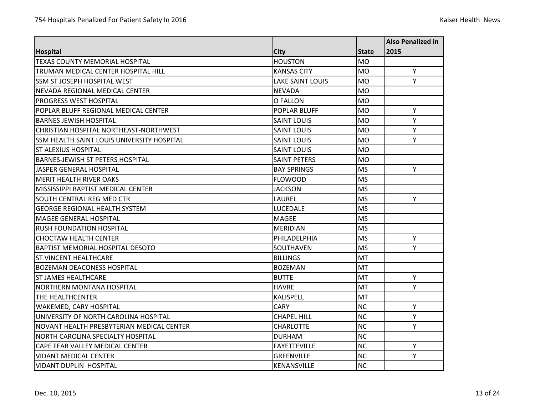|                                            |                         |              | <b>Also Penalized in</b> |
|--------------------------------------------|-------------------------|--------------|--------------------------|
| <b>Hospital</b>                            | <b>City</b>             | <b>State</b> | 2015                     |
| <b>TEXAS COUNTY MEMORIAL HOSPITAL</b>      | <b>HOUSTON</b>          | <b>MO</b>    |                          |
| <b>TRUMAN MEDICAL CENTER HOSPITAL HILL</b> | <b>KANSAS CITY</b>      | <b>MO</b>    | Y                        |
| SSM ST JOSEPH HOSPITAL WEST                | <b>LAKE SAINT LOUIS</b> | <b>MO</b>    | Y                        |
| NEVADA REGIONAL MEDICAL CENTER             | <b>NEVADA</b>           | <b>MO</b>    |                          |
| <b>PROGRESS WEST HOSPITAL</b>              | O FALLON                | <b>MO</b>    |                          |
| POPLAR BLUFF REGIONAL MEDICAL CENTER       | POPLAR BLUFF            | <b>MO</b>    | Y                        |
| <b>BARNES JEWISH HOSPITAL</b>              | <b>SAINT LOUIS</b>      | <b>MO</b>    | Υ                        |
| CHRISTIAN HOSPITAL NORTHEAST-NORTHWEST     | <b>SAINT LOUIS</b>      | <b>MO</b>    | Y                        |
| SSM HEALTH SAINT LOUIS UNIVERSITY HOSPITAL | <b>SAINT LOUIS</b>      | <b>MO</b>    | Y                        |
| <b>ST ALEXIUS HOSPITAL</b>                 | <b>SAINT LOUIS</b>      | <b>MO</b>    |                          |
| <b>BARNES-JEWISH ST PETERS HOSPITAL</b>    | <b>SAINT PETERS</b>     | <b>MO</b>    |                          |
| JASPER GENERAL HOSPITAL                    | <b>BAY SPRINGS</b>      | <b>MS</b>    | Y                        |
| <b>MERIT HEALTH RIVER OAKS</b>             | <b>FLOWOOD</b>          | <b>MS</b>    |                          |
| MISSISSIPPI BAPTIST MEDICAL CENTER         | <b>JACKSON</b>          | <b>MS</b>    |                          |
| SOUTH CENTRAL REG MED CTR                  | LAUREL                  | <b>MS</b>    | Y                        |
| <b>GEORGE REGIONAL HEALTH SYSTEM</b>       | <b>LUCEDALE</b>         | <b>MS</b>    |                          |
| <b>MAGEE GENERAL HOSPITAL</b>              | <b>MAGEE</b>            | <b>MS</b>    |                          |
| <b>RUSH FOUNDATION HOSPITAL</b>            | <b>MERIDIAN</b>         | <b>MS</b>    |                          |
| <b>CHOCTAW HEALTH CENTER</b>               | PHILADELPHIA            | <b>MS</b>    | Y                        |
| BAPTIST MEMORIAL HOSPITAL DESOTO           | SOUTHAVEN               | <b>MS</b>    | Υ                        |
| <b>ST VINCENT HEALTHCARE</b>               | <b>BILLINGS</b>         | MT           |                          |
| <b>BOZEMAN DEACONESS HOSPITAL</b>          | <b>BOZEMAN</b>          | <b>MT</b>    |                          |
| <b>ST JAMES HEALTHCARE</b>                 | <b>BUTTE</b>            | MT           | Y                        |
| <b>NORTHERN MONTANA HOSPITAL</b>           | <b>HAVRE</b>            | <b>MT</b>    | Y                        |
| THE HEALTHCENTER                           | KALISPELL               | MT           |                          |
| <b>WAKEMED, CARY HOSPITAL</b>              | <b>CARY</b>             | <b>NC</b>    | Y                        |
| UNIVERSITY OF NORTH CAROLINA HOSPITAL      | <b>CHAPEL HILL</b>      | <b>NC</b>    | Υ                        |
| NOVANT HEALTH PRESBYTERIAN MEDICAL CENTER  | <b>CHARLOTTE</b>        | <b>NC</b>    | Υ                        |
| NORTH CAROLINA SPECIALTY HOSPITAL          | <b>DURHAM</b>           | <b>NC</b>    |                          |
| CAPE FEAR VALLEY MEDICAL CENTER            | <b>FAYETTEVILLE</b>     | <b>NC</b>    | Y                        |
| <b>VIDANT MEDICAL CENTER</b>               | <b>GREENVILLE</b>       | <b>NC</b>    | Y                        |
| <b>VIDANT DUPLIN HOSPITAL</b>              | KENANSVILLE             | <b>NC</b>    |                          |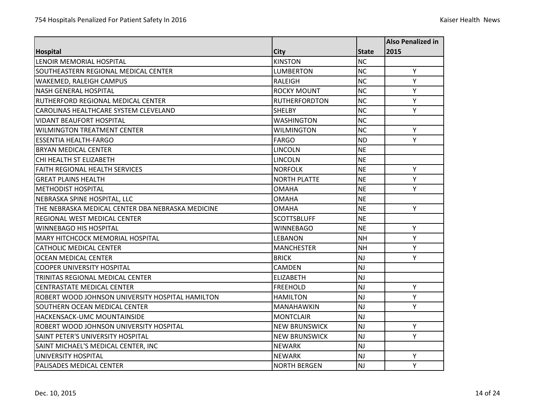|                                                   |                      |              | <b>Also Penalized in</b> |
|---------------------------------------------------|----------------------|--------------|--------------------------|
| <b>Hospital</b>                                   | City                 | <b>State</b> | 2015                     |
| LENOIR MEMORIAL HOSPITAL                          | <b>KINSTON</b>       | <b>NC</b>    |                          |
| SOUTHEASTERN REGIONAL MEDICAL CENTER              | <b>LUMBERTON</b>     | <b>NC</b>    | Y                        |
| WAKEMED, RALEIGH CAMPUS                           | <b>RALEIGH</b>       | <b>NC</b>    | Υ                        |
| <b>NASH GENERAL HOSPITAL</b>                      | <b>ROCKY MOUNT</b>   | <b>NC</b>    | Υ                        |
| RUTHERFORD REGIONAL MEDICAL CENTER                | <b>RUTHERFORDTON</b> | <b>NC</b>    | Y                        |
| CAROLINAS HEALTHCARE SYSTEM CLEVELAND             | <b>SHELBY</b>        | <b>NC</b>    | Y                        |
| <b>VIDANT BEAUFORT HOSPITAL</b>                   | <b>WASHINGTON</b>    | <b>NC</b>    |                          |
| <b>WILMINGTON TREATMENT CENTER</b>                | <b>WILMINGTON</b>    | <b>NC</b>    | Y                        |
| <b>ESSENTIA HEALTH-FARGO</b>                      | <b>FARGO</b>         | <b>ND</b>    | Y                        |
| <b>BRYAN MEDICAL CENTER</b>                       | <b>LINCOLN</b>       | <b>NE</b>    |                          |
| CHI HEALTH ST ELIZABETH                           | <b>LINCOLN</b>       | <b>NE</b>    |                          |
| <b>FAITH REGIONAL HEALTH SERVICES</b>             | <b>NORFOLK</b>       | <b>NE</b>    | Y                        |
| <b>GREAT PLAINS HEALTH</b>                        | <b>NORTH PLATTE</b>  | <b>NE</b>    | Y                        |
| <b>METHODIST HOSPITAL</b>                         | <b>OMAHA</b>         | <b>NE</b>    | Y                        |
| NEBRASKA SPINE HOSPITAL, LLC                      | OMAHA                | <b>NE</b>    |                          |
| THE NEBRASKA MEDICAL CENTER DBA NEBRASKA MEDICINE | <b>OMAHA</b>         | <b>NE</b>    | Y                        |
| <b>REGIONAL WEST MEDICAL CENTER</b>               | <b>SCOTTSBLUFF</b>   | <b>NE</b>    |                          |
| <b>WINNEBAGO HIS HOSPITAL</b>                     | <b>WINNEBAGO</b>     | <b>NE</b>    | Y                        |
| MARY HITCHCOCK MEMORIAL HOSPITAL                  | <b>LEBANON</b>       | <b>NH</b>    | Υ                        |
| <b>CATHOLIC MEDICAL CENTER</b>                    | <b>MANCHESTER</b>    | <b>NH</b>    | Y                        |
| <b>OCEAN MEDICAL CENTER</b>                       | <b>BRICK</b>         | NJ           | Y                        |
| <b>COOPER UNIVERSITY HOSPITAL</b>                 | <b>CAMDEN</b>        | <b>NJ</b>    |                          |
| TRINITAS REGIONAL MEDICAL CENTER                  | <b>ELIZABETH</b>     | NJ           |                          |
| <b>CENTRASTATE MEDICAL CENTER</b>                 | <b>FREEHOLD</b>      | NJ           | Υ                        |
| ROBERT WOOD JOHNSON UNIVERSITY HOSPITAL HAMILTON  | <b>HAMILTON</b>      | NJ           | Y                        |
| SOUTHERN OCEAN MEDICAL CENTER                     | MANAHAWKIN           | <b>NJ</b>    | Υ                        |
| HACKENSACK-UMC MOUNTAINSIDE                       | <b>MONTCLAIR</b>     | <b>NJ</b>    |                          |
| ROBERT WOOD JOHNSON UNIVERSITY HOSPITAL           | <b>NEW BRUNSWICK</b> | NJ           | Y                        |
| SAINT PETER'S UNIVERSITY HOSPITAL                 | <b>NEW BRUNSWICK</b> | <b>NJ</b>    | Υ                        |
| SAINT MICHAEL'S MEDICAL CENTER, INC               | <b>NEWARK</b>        | NJ           |                          |
| UNIVERSITY HOSPITAL                               | <b>NEWARK</b>        | <b>NJ</b>    | Y                        |
| PALISADES MEDICAL CENTER                          | <b>NORTH BERGEN</b>  | NJ           | Y                        |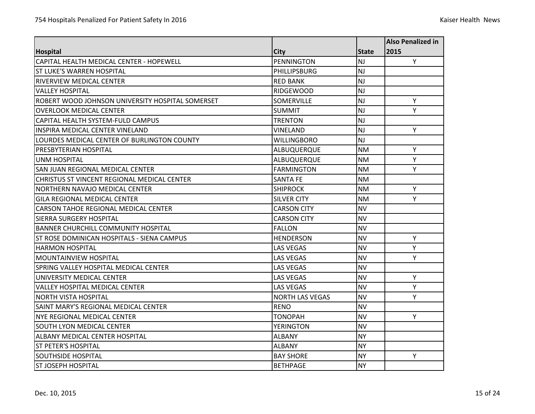|                                                  |                        |              | <b>Also Penalized in</b> |
|--------------------------------------------------|------------------------|--------------|--------------------------|
| <b>Hospital</b>                                  | City                   | <b>State</b> | 2015                     |
| CAPITAL HEALTH MEDICAL CENTER - HOPEWELL         | <b>PENNINGTON</b>      | <b>NJ</b>    | Y                        |
| IST LUKE'S WARREN HOSPITAL                       | <b>PHILLIPSBURG</b>    | <b>NJ</b>    |                          |
| <b>RIVERVIEW MEDICAL CENTER</b>                  | <b>RED BANK</b>        | NJ           |                          |
| <b>VALLEY HOSPITAL</b>                           | <b>RIDGEWOOD</b>       | <b>NJ</b>    |                          |
| ROBERT WOOD JOHNSON UNIVERSITY HOSPITAL SOMERSET | <b>SOMERVILLE</b>      | <b>NJ</b>    | Y                        |
| <b>OVERLOOK MEDICAL CENTER</b>                   | <b>SUMMIT</b>          | NJ           | Y                        |
| CAPITAL HEALTH SYSTEM-FULD CAMPUS                | <b>TRENTON</b>         | <b>NJ</b>    |                          |
| INSPIRA MEDICAL CENTER VINELAND                  | VINELAND               | <b>NJ</b>    | Y                        |
| LOURDES MEDICAL CENTER OF BURLINGTON COUNTY      | <b>WILLINGBORO</b>     | <b>NJ</b>    |                          |
| <b>PRESBYTERIAN HOSPITAL</b>                     | ALBUQUERQUE            | <b>NM</b>    | Υ                        |
| <b>UNM HOSPITAL</b>                              | ALBUQUERQUE            | <b>NM</b>    | Υ                        |
| SAN JUAN REGIONAL MEDICAL CENTER                 | <b>FARMINGTON</b>      | <b>NM</b>    | Y                        |
| CHRISTUS ST VINCENT REGIONAL MEDICAL CENTER      | <b>SANTA FE</b>        | <b>NM</b>    |                          |
| NORTHERN NAVAJO MEDICAL CENTER                   | <b>SHIPROCK</b>        | <b>NM</b>    | Y                        |
| <b>GILA REGIONAL MEDICAL CENTER</b>              | SILVER CITY            | <b>NM</b>    | Υ                        |
| <b>CARSON TAHOE REGIONAL MEDICAL CENTER</b>      | <b>CARSON CITY</b>     | <b>NV</b>    |                          |
| <b>SIERRA SURGERY HOSPITAL</b>                   | <b>CARSON CITY</b>     | <b>NV</b>    |                          |
| <b>BANNER CHURCHILL COMMUNITY HOSPITAL</b>       | <b>FALLON</b>          | <b>NV</b>    |                          |
| ST ROSE DOMINICAN HOSPITALS - SIENA CAMPUS       | <b>HENDERSON</b>       | <b>NV</b>    | Υ                        |
| <b>HARMON HOSPITAL</b>                           | <b>LAS VEGAS</b>       | <b>NV</b>    | Υ                        |
| <b>MOUNTAINVIEW HOSPITAL</b>                     | <b>LAS VEGAS</b>       | <b>NV</b>    | Y                        |
| <b>SPRING VALLEY HOSPITAL MEDICAL CENTER</b>     | <b>LAS VEGAS</b>       | <b>NV</b>    |                          |
| UNIVERSITY MEDICAL CENTER                        | <b>LAS VEGAS</b>       | <b>NV</b>    | Y                        |
| <b>VALLEY HOSPITAL MEDICAL CENTER</b>            | <b>LAS VEGAS</b>       | <b>NV</b>    | Υ                        |
| <b>NORTH VISTA HOSPITAL</b>                      | <b>NORTH LAS VEGAS</b> | <b>NV</b>    | Y                        |
| ISAINT MARY'S REGIONAL MEDICAL CENTER            | <b>RENO</b>            | <b>NV</b>    |                          |
| NYE REGIONAL MEDICAL CENTER                      | <b>TONOPAH</b>         | <b>NV</b>    | Y                        |
| <b>SOUTH LYON MEDICAL CENTER</b>                 | <b>YERINGTON</b>       | <b>NV</b>    |                          |
| ALBANY MEDICAL CENTER HOSPITAL                   | <b>ALBANY</b>          | <b>NY</b>    |                          |
| <b>ST PETER'S HOSPITAL</b>                       | <b>ALBANY</b>          | <b>NY</b>    |                          |
| <b>SOUTHSIDE HOSPITAL</b>                        | <b>BAY SHORE</b>       | <b>NY</b>    | Y                        |
| <b>ST JOSEPH HOSPITAL</b>                        | <b>BETHPAGE</b>        | <b>NY</b>    |                          |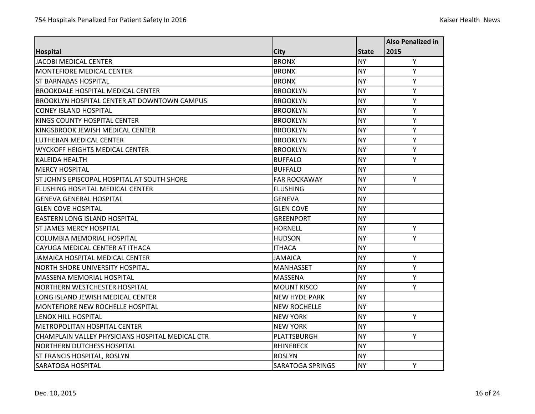|                                                    |                         |              | <b>Also Penalized in</b> |
|----------------------------------------------------|-------------------------|--------------|--------------------------|
| <b>Hospital</b>                                    | <b>City</b>             | <b>State</b> | 2015                     |
| JACOBI MEDICAL CENTER                              | <b>BRONX</b>            | <b>NY</b>    | Y                        |
| <b>MONTEFIORE MEDICAL CENTER</b>                   | <b>BRONX</b>            | <b>NY</b>    | Y                        |
| <b>ST BARNABAS HOSPITAL</b>                        | <b>BRONX</b>            | <b>NY</b>    | Y                        |
| <b>BROOKDALE HOSPITAL MEDICAL CENTER</b>           | <b>BROOKLYN</b>         | <b>NY</b>    | Y                        |
| <b>BROOKLYN HOSPITAL CENTER AT DOWNTOWN CAMPUS</b> | <b>BROOKLYN</b>         | <b>NY</b>    | Y                        |
| <b>CONEY ISLAND HOSPITAL</b>                       | <b>BROOKLYN</b>         | <b>NY</b>    | Υ                        |
| <b>KINGS COUNTY HOSPITAL CENTER</b>                | <b>BROOKLYN</b>         | <b>NY</b>    | Y                        |
| KINGSBROOK JEWISH MEDICAL CENTER                   | <b>BROOKLYN</b>         | <b>NY</b>    | Y                        |
| LUTHERAN MEDICAL CENTER                            | <b>BROOKLYN</b>         | <b>NY</b>    | Y                        |
| <b>WYCKOFF HEIGHTS MEDICAL CENTER</b>              | <b>BROOKLYN</b>         | <b>NY</b>    | Υ                        |
| <b>KALEIDA HEALTH</b>                              | <b>BUFFALO</b>          | <b>NY</b>    | Y                        |
| <b>MERCY HOSPITAL</b>                              | <b>BUFFALO</b>          | <b>NY</b>    |                          |
| ST JOHN'S EPISCOPAL HOSPITAL AT SOUTH SHORE        | <b>FAR ROCKAWAY</b>     | <b>NY</b>    | Y                        |
| <b>FLUSHING HOSPITAL MEDICAL CENTER</b>            | <b>FLUSHING</b>         | <b>NY</b>    |                          |
| <b>GENEVA GENERAL HOSPITAL</b>                     | <b>GENEVA</b>           | <b>NY</b>    |                          |
| <b>GLEN COVE HOSPITAL</b>                          | <b>GLEN COVE</b>        | <b>NY</b>    |                          |
| <b>EASTERN LONG ISLAND HOSPITAL</b>                | <b>GREENPORT</b>        | <b>NY</b>    |                          |
| <b>ST JAMES MERCY HOSPITAL</b>                     | <b>HORNELL</b>          | <b>NY</b>    | Y                        |
| <b>COLUMBIA MEMORIAL HOSPITAL</b>                  | <b>HUDSON</b>           | <b>NY</b>    | Y                        |
| CAYUGA MEDICAL CENTER AT ITHACA                    | <b>ITHACA</b>           | <b>NY</b>    |                          |
| JAMAICA HOSPITAL MEDICAL CENTER                    | <b>JAMAICA</b>          | <b>NY</b>    | Y                        |
| <b>NORTH SHORE UNIVERSITY HOSPITAL</b>             | <b>MANHASSET</b>        | <b>NY</b>    | Y                        |
| <b>MASSENA MEMORIAL HOSPITAL</b>                   | <b>MASSENA</b>          | <b>NY</b>    | Y                        |
| <b>NORTHERN WESTCHESTER HOSPITAL</b>               | <b>MOUNT KISCO</b>      | <b>NY</b>    | Y                        |
| LONG ISLAND JEWISH MEDICAL CENTER                  | <b>NEW HYDE PARK</b>    | <b>NY</b>    |                          |
| <b>MONTEFIORE NEW ROCHELLE HOSPITAL</b>            | <b>NEW ROCHELLE</b>     | <b>NY</b>    |                          |
| <b>LENOX HILL HOSPITAL</b>                         | <b>NEW YORK</b>         | <b>NY</b>    | Y                        |
| <b>METROPOLITAN HOSPITAL CENTER</b>                | <b>NEW YORK</b>         | <b>NY</b>    |                          |
| CHAMPLAIN VALLEY PHYSICIANS HOSPITAL MEDICAL CTR   | PLATTSBURGH             | <b>NY</b>    | Y                        |
| <b>NORTHERN DUTCHESS HOSPITAL</b>                  | <b>RHINEBECK</b>        | <b>NY</b>    |                          |
| <b>ST FRANCIS HOSPITAL, ROSLYN</b>                 | <b>ROSLYN</b>           | <b>NY</b>    |                          |
| <b>SARATOGA HOSPITAL</b>                           | <b>SARATOGA SPRINGS</b> | <b>NY</b>    | Y                        |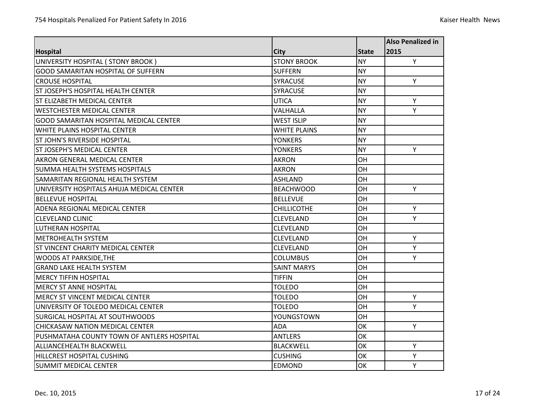|                                            |                     |              | Also Penalized in |
|--------------------------------------------|---------------------|--------------|-------------------|
| <b>Hospital</b>                            | City                | <b>State</b> | 2015              |
| UNIVERSITY HOSPITAL ( STONY BROOK )        | <b>STONY BROOK</b>  | <b>NY</b>    | Y                 |
| <b>GOOD SAMARITAN HOSPITAL OF SUFFERN</b>  | <b>SUFFERN</b>      | <b>NY</b>    |                   |
| <b>CROUSE HOSPITAL</b>                     | <b>SYRACUSE</b>     | <b>NY</b>    | Y                 |
| <b>ST JOSEPH'S HOSPITAL HEALTH CENTER</b>  | <b>SYRACUSE</b>     | <b>NY</b>    |                   |
| <b>ST ELIZABETH MEDICAL CENTER</b>         | <b>UTICA</b>        | <b>NY</b>    | Υ                 |
| WESTCHESTER MEDICAL CENTER                 | VALHALLA            | <b>NY</b>    | Y                 |
| GOOD SAMARITAN HOSPITAL MEDICAL CENTER     | <b>WEST ISLIP</b>   | <b>NY</b>    |                   |
| <b>WHITE PLAINS HOSPITAL CENTER</b>        | <b>WHITE PLAINS</b> | <b>NY</b>    |                   |
| <b>ST JOHN'S RIVERSIDE HOSPITAL</b>        | <b>YONKERS</b>      | <b>NY</b>    |                   |
| <b>ST JOSEPH'S MEDICAL CENTER</b>          | <b>YONKERS</b>      | <b>NY</b>    | Y                 |
| <b>AKRON GENERAL MEDICAL CENTER</b>        | <b>AKRON</b>        | OH           |                   |
| ISUMMA HEALTH SYSTEMS HOSPITALS            | <b>AKRON</b>        | OH           |                   |
| <b>SAMARITAN REGIONAL HEALTH SYSTEM</b>    | <b>ASHLAND</b>      | OH           |                   |
| UNIVERSITY HOSPITALS AHUJA MEDICAL CENTER  | <b>BEACHWOOD</b>    | OH           | Y                 |
| <b>BELLEVUE HOSPITAL</b>                   | <b>BELLEVUE</b>     | OH           |                   |
| <b>ADENA REGIONAL MEDICAL CENTER</b>       | <b>CHILLICOTHE</b>  | OH           | Y                 |
| <b>CLEVELAND CLINIC</b>                    | <b>CLEVELAND</b>    | OH           | Y                 |
| LUTHERAN HOSPITAL                          | <b>CLEVELAND</b>    | OH           |                   |
| <b>METROHEALTH SYSTEM</b>                  | <b>CLEVELAND</b>    | OH           | Y                 |
| <b>ST VINCENT CHARITY MEDICAL CENTER</b>   | <b>CLEVELAND</b>    | OH           | Y                 |
| <b>WOODS AT PARKSIDE, THE</b>              | <b>COLUMBUS</b>     | OH           | Y                 |
| <b>GRAND LAKE HEALTH SYSTEM</b>            | <b>SAINT MARYS</b>  | OH           |                   |
| <b>MERCY TIFFIN HOSPITAL</b>               | <b>TIFFIN</b>       | OH           |                   |
| <b>MERCY ST ANNE HOSPITAL</b>              | <b>TOLEDO</b>       | OH           |                   |
| MERCY ST VINCENT MEDICAL CENTER            | TOLEDO              | OH           | Y                 |
| UNIVERSITY OF TOLEDO MEDICAL CENTER        | <b>TOLEDO</b>       | OH           | Y                 |
| <b>SURGICAL HOSPITAL AT SOUTHWOODS</b>     | YOUNGSTOWN          | OH           |                   |
| CHICKASAW NATION MEDICAL CENTER            | <b>ADA</b>          | OK           | Y                 |
| PUSHMATAHA COUNTY TOWN OF ANTLERS HOSPITAL | <b>ANTLERS</b>      | OK           |                   |
| <b>ALLIANCEHEALTH BLACKWELL</b>            | <b>BLACKWELL</b>    | OK           | Y                 |
| <b>HILLCREST HOSPITAL CUSHING</b>          | <b>CUSHING</b>      | OK           | Y                 |
| <b>SUMMIT MEDICAL CENTER</b>               | <b>EDMOND</b>       | OK           | Y                 |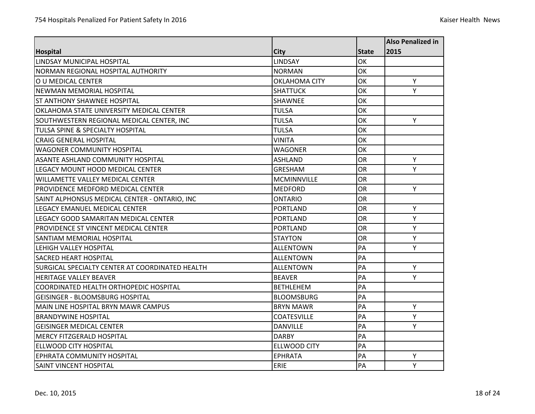|                                                 |                      |              | <b>Also Penalized in</b> |
|-------------------------------------------------|----------------------|--------------|--------------------------|
| <b>Hospital</b>                                 | City                 | <b>State</b> | 2015                     |
| <b>LINDSAY MUNICIPAL HOSPITAL</b>               | <b>LINDSAY</b>       | OK           |                          |
| NORMAN REGIONAL HOSPITAL AUTHORITY              | <b>NORMAN</b>        | OK           |                          |
| O U MEDICAL CENTER                              | <b>OKLAHOMA CITY</b> | OK           | Y                        |
| <b>NEWMAN MEMORIAL HOSPITAL</b>                 | <b>SHATTUCK</b>      | OK           | Y                        |
| ST ANTHONY SHAWNEE HOSPITAL                     | <b>SHAWNEE</b>       | OK           |                          |
| OKLAHOMA STATE UNIVERSITY MEDICAL CENTER        | <b>TULSA</b>         | OK           |                          |
| SOUTHWESTERN REGIONAL MEDICAL CENTER, INC       | <b>TULSA</b>         | OK           | Y                        |
| TULSA SPINE & SPECIALTY HOSPITAL                | <b>TULSA</b>         | OK           |                          |
| <b>CRAIG GENERAL HOSPITAL</b>                   | <b>VINITA</b>        | OK           |                          |
| <b>WAGONER COMMUNITY HOSPITAL</b>               | <b>WAGONER</b>       | OK           |                          |
| <b>ASANTE ASHLAND COMMUNITY HOSPITAL</b>        | <b>ASHLAND</b>       | OR           | Y                        |
| LEGACY MOUNT HOOD MEDICAL CENTER                | <b>GRESHAM</b>       | <b>OR</b>    | Y                        |
| <b>WILLAMETTE VALLEY MEDICAL CENTER</b>         | <b>MCMINNVILLE</b>   | OR           |                          |
| PROVIDENCE MEDFORD MEDICAL CENTER               | <b>MEDFORD</b>       | <b>OR</b>    | Y                        |
| SAINT ALPHONSUS MEDICAL CENTER - ONTARIO, INC   | ONTARIO              | <b>OR</b>    |                          |
| LEGACY EMANUEL MEDICAL CENTER                   | <b>PORTLAND</b>      | OR           | Y                        |
| LEGACY GOOD SAMARITAN MEDICAL CENTER            | <b>PORTLAND</b>      | <b>OR</b>    | Y                        |
| PROVIDENCE ST VINCENT MEDICAL CENTER            | <b>PORTLAND</b>      | OR           | Y                        |
| SANTIAM MEMORIAL HOSPITAL                       | <b>STAYTON</b>       | <b>OR</b>    | Y                        |
| LEHIGH VALLEY HOSPITAL                          | <b>ALLENTOWN</b>     | PA           | Υ                        |
| <b>SACRED HEART HOSPITAL</b>                    | <b>ALLENTOWN</b>     | PA           |                          |
| SURGICAL SPECIALTY CENTER AT COORDINATED HEALTH | <b>ALLENTOWN</b>     | PA           | Y                        |
| <b>HERITAGE VALLEY BEAVER</b>                   | <b>BEAVER</b>        | PA           | Υ                        |
| COORDINATED HEALTH ORTHOPEDIC HOSPITAL          | <b>BETHLEHEM</b>     | PA           |                          |
| <b>GEISINGER - BLOOMSBURG HOSPITAL</b>          | <b>BLOOMSBURG</b>    | PA           |                          |
| MAIN LINE HOSPITAL BRYN MAWR CAMPUS             | <b>BRYN MAWR</b>     | PA           | Y                        |
| <b>BRANDYWINE HOSPITAL</b>                      | <b>COATESVILLE</b>   | PA           | Υ                        |
| <b>GEISINGER MEDICAL CENTER</b>                 | <b>DANVILLE</b>      | PA           | Υ                        |
| <b>MERCY FITZGERALD HOSPITAL</b>                | <b>DARBY</b>         | PA           |                          |
| ELLWOOD CITY HOSPITAL                           | <b>ELLWOOD CITY</b>  | PA           |                          |
| EPHRATA COMMUNITY HOSPITAL                      | <b>EPHRATA</b>       | PA           | Υ                        |
| SAINT VINCENT HOSPITAL                          | ERIE                 | PA           | Y                        |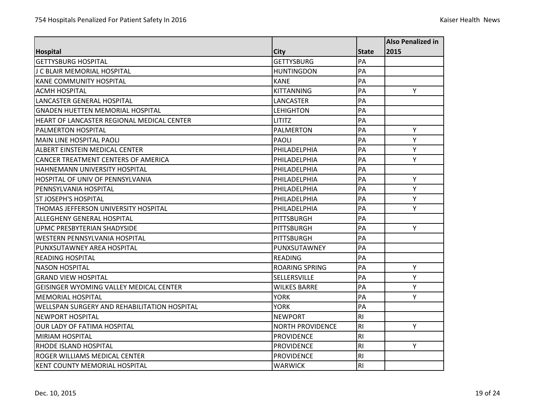|                                                |                         |                | <b>Also Penalized in</b> |
|------------------------------------------------|-------------------------|----------------|--------------------------|
| <b>Hospital</b>                                | <b>City</b>             | <b>State</b>   | 2015                     |
| <b>GETTYSBURG HOSPITAL</b>                     | <b>GETTYSBURG</b>       | PA             |                          |
| J C BLAIR MEMORIAL HOSPITAL                    | <b>HUNTINGDON</b>       | PA             |                          |
| <b>KANE COMMUNITY HOSPITAL</b>                 | <b>KANE</b>             | PA             |                          |
| <b>ACMH HOSPITAL</b>                           | <b>KITTANNING</b>       | PA             | Y                        |
| LANCASTER GENERAL HOSPITAL                     | LANCASTER               | PA             |                          |
| <b>GNADEN HUETTEN MEMORIAL HOSPITAL</b>        | <b>LEHIGHTON</b>        | PA             |                          |
| HEART OF LANCASTER REGIONAL MEDICAL CENTER     | <b>LITITZ</b>           | PA             |                          |
| <b>PALMERTON HOSPITAL</b>                      | <b>PALMERTON</b>        | PA             | Y                        |
| MAIN LINE HOSPITAL PAOLI                       | <b>PAOLI</b>            | PA             | Y                        |
| ALBERT EINSTEIN MEDICAL CENTER                 | PHILADELPHIA            | PA             | Υ                        |
| CANCER TREATMENT CENTERS OF AMERICA            | PHILADELPHIA            | PA             | Y                        |
| <b>HAHNEMANN UNIVERSITY HOSPITAL</b>           | PHILADELPHIA            | PA             |                          |
| HOSPITAL OF UNIV OF PENNSYLVANIA               | PHILADELPHIA            | PA             | Y                        |
| PENNSYLVANIA HOSPITAL                          | PHILADELPHIA            | PA             | Υ                        |
| <b>ST JOSEPH'S HOSPITAL</b>                    | PHILADELPHIA            | PA             | Υ                        |
| THOMAS JEFFERSON UNIVERSITY HOSPITAL           | PHILADELPHIA            | PA             | Y                        |
| <b>ALLEGHENY GENERAL HOSPITAL</b>              | <b>PITTSBURGH</b>       | PA             |                          |
| UPMC PRESBYTERIAN SHADYSIDE                    | PITTSBURGH              | PA             | Y                        |
| <b>WESTERN PENNSYLVANIA HOSPITAL</b>           | <b>PITTSBURGH</b>       | PA             |                          |
| PUNXSUTAWNEY AREA HOSPITAL                     | PUNXSUTAWNEY            | PA             |                          |
| <b>READING HOSPITAL</b>                        | <b>READING</b>          | PA             |                          |
| <b>NASON HOSPITAL</b>                          | <b>ROARING SPRING</b>   | PA             | Y                        |
| <b>GRAND VIEW HOSPITAL</b>                     | SELLERSVILLE            | PA             | Y                        |
| <b>GEISINGER WYOMING VALLEY MEDICAL CENTER</b> | <b>WILKES BARRE</b>     | PA             | Y                        |
| <b>MEMORIAL HOSPITAL</b>                       | <b>YORK</b>             | PA             | Y                        |
| WELLSPAN SURGERY AND REHABILITATION HOSPITAL   | <b>YORK</b>             | PA             |                          |
| <b>NEWPORT HOSPITAL</b>                        | <b>NEWPORT</b>          | R <sub>l</sub> |                          |
| <b>OUR LADY OF FATIMA HOSPITAL</b>             | <b>NORTH PROVIDENCE</b> | R1             | Y                        |
| <b>MIRIAM HOSPITAL</b>                         | <b>PROVIDENCE</b>       | R <sub>l</sub> |                          |
| <b>RHODE ISLAND HOSPITAL</b>                   | <b>PROVIDENCE</b>       | R <sub>l</sub> | Y                        |
| <b>ROGER WILLIAMS MEDICAL CENTER</b>           | <b>PROVIDENCE</b>       | R <sub>l</sub> |                          |
| <b>KENT COUNTY MEMORIAL HOSPITAL</b>           | <b>WARWICK</b>          | R <sub>l</sub> |                          |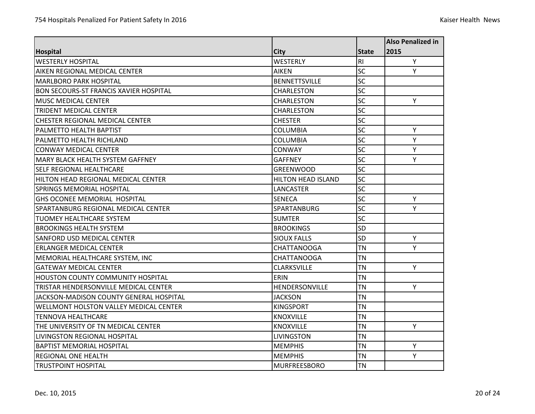|                                               |                           |                 | <b>Also Penalized in</b> |
|-----------------------------------------------|---------------------------|-----------------|--------------------------|
| <b>Hospital</b>                               | City                      | <b>State</b>    | 2015                     |
| <b>WESTERLY HOSPITAL</b>                      | <b>WESTERLY</b>           | R <sub>l</sub>  | Y                        |
| AIKEN REGIONAL MEDICAL CENTER                 | <b>AIKEN</b>              | <b>SC</b>       | Y                        |
| <b>MARLBORO PARK HOSPITAL</b>                 | <b>BENNETTSVILLE</b>      | <b>SC</b>       |                          |
| <b>BON SECOURS-ST FRANCIS XAVIER HOSPITAL</b> | <b>CHARLESTON</b>         | <b>SC</b>       |                          |
| <b>MUSC MEDICAL CENTER</b>                    | CHARLESTON                | SC              | Y                        |
| <b>TRIDENT MEDICAL CENTER</b>                 | <b>CHARLESTON</b>         | <b>SC</b>       |                          |
| <b>CHESTER REGIONAL MEDICAL CENTER</b>        | <b>CHESTER</b>            | <b>SC</b>       |                          |
| PALMETTO HEALTH BAPTIST                       | <b>COLUMBIA</b>           | <b>SC</b>       | Υ                        |
| PALMETTO HEALTH RICHLAND                      | <b>COLUMBIA</b>           | $\overline{SC}$ | Y                        |
| <b>CONWAY MEDICAL CENTER</b>                  | <b>CONWAY</b>             | <b>SC</b>       | Υ                        |
| <b>MARY BLACK HEALTH SYSTEM GAFFNEY</b>       | <b>GAFFNEY</b>            | <b>SC</b>       | Y                        |
| <b>SELF REGIONAL HEALTHCARE</b>               | <b>GREENWOOD</b>          | <b>SC</b>       |                          |
| HILTON HEAD REGIONAL MEDICAL CENTER           | <b>HILTON HEAD ISLAND</b> | <b>SC</b>       |                          |
| <b>SPRINGS MEMORIAL HOSPITAL</b>              | LANCASTER                 | $\overline{SC}$ |                          |
| <b>GHS OCONEE MEMORIAL HOSPITAL</b>           | <b>SENECA</b>             | <b>SC</b>       | Y                        |
| <b>SPARTANBURG REGIONAL MEDICAL CENTER</b>    | <b>SPARTANBURG</b>        | <b>SC</b>       | Y                        |
| <b>TUOMEY HEALTHCARE SYSTEM</b>               | <b>SUMTER</b>             | SC              |                          |
| <b>BROOKINGS HEALTH SYSTEM</b>                | <b>BROOKINGS</b>          | <b>SD</b>       |                          |
| SANFORD USD MEDICAL CENTER                    | <b>SIOUX FALLS</b>        | <b>SD</b>       | Υ                        |
| <b>ERLANGER MEDICAL CENTER</b>                | CHATTANOOGA               | <b>TN</b>       | Υ                        |
| MEMORIAL HEALTHCARE SYSTEM, INC               | <b>CHATTANOOGA</b>        | <b>TN</b>       |                          |
| <b>GATEWAY MEDICAL CENTER</b>                 | CLARKSVILLE               | <b>TN</b>       | Y                        |
| HOUSTON COUNTY COMMUNITY HOSPITAL             | <b>ERIN</b>               | <b>TN</b>       |                          |
| TRISTAR HENDERSONVILLE MEDICAL CENTER         | HENDERSONVILLE            | <b>TN</b>       | Y                        |
| JACKSON-MADISON COUNTY GENERAL HOSPITAL       | <b>JACKSON</b>            | <b>TN</b>       |                          |
| <b>WELLMONT HOLSTON VALLEY MEDICAL CENTER</b> | <b>KINGSPORT</b>          | <b>TN</b>       |                          |
| <b>TENNOVA HEALTHCARE</b>                     | <b>KNOXVILLE</b>          | <b>TN</b>       |                          |
| THE UNIVERSITY OF TN MEDICAL CENTER           | <b>KNOXVILLE</b>          | <b>TN</b>       | Y                        |
| LIVINGSTON REGIONAL HOSPITAL                  | <b>LIVINGSTON</b>         | <b>TN</b>       |                          |
| <b>BAPTIST MEMORIAL HOSPITAL</b>              | <b>MEMPHIS</b>            | <b>TN</b>       | Υ                        |
| <b>REGIONAL ONE HEALTH</b>                    | <b>MEMPHIS</b>            | <b>TN</b>       | Y                        |
| <b>TRUSTPOINT HOSPITAL</b>                    | <b>MURFREESBORO</b>       | <b>TN</b>       |                          |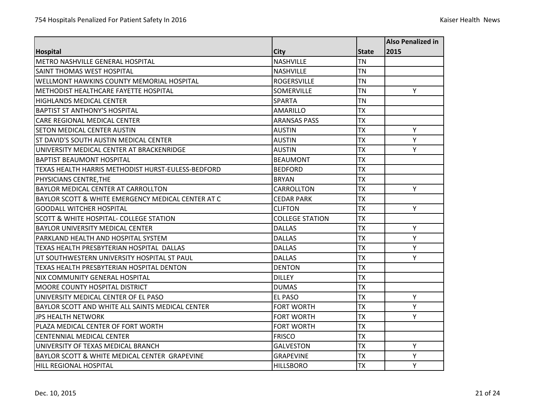|                                                               |                        |              | <b>Also Penalized in</b> |
|---------------------------------------------------------------|------------------------|--------------|--------------------------|
| <b>Hospital</b>                                               | City                   | <b>State</b> | 2015                     |
| <b>METRO NASHVILLE GENERAL HOSPITAL</b>                       | <b>NASHVILLE</b>       | <b>TN</b>    |                          |
| SAINT THOMAS WEST HOSPITAL                                    | <b>NASHVILLE</b>       | <b>TN</b>    |                          |
| <b>WELLMONT HAWKINS COUNTY MEMORIAL HOSPITAL</b>              | <b>ROGERSVILLE</b>     | <b>TN</b>    |                          |
| METHODIST HEALTHCARE FAYETTE HOSPITAL                         | <b>SOMERVILLE</b>      | <b>TN</b>    | Y                        |
| <b>HIGHLANDS MEDICAL CENTER</b>                               | <b>SPARTA</b>          | <b>TN</b>    |                          |
| <b>BAPTIST ST ANTHONY'S HOSPITAL</b>                          | <b>AMARILLO</b>        | <b>TX</b>    |                          |
| <b>CARE REGIONAL MEDICAL CENTER</b>                           | <b>ARANSAS PASS</b>    | <b>TX</b>    |                          |
| <b>SETON MEDICAL CENTER AUSTIN</b>                            | <b>AUSTIN</b>          | <b>TX</b>    | Y                        |
| ST DAVID'S SOUTH AUSTIN MEDICAL CENTER                        | AUSTIN                 | <b>TX</b>    | Y                        |
| UNIVERSITY MEDICAL CENTER AT BRACKENRIDGE                     | <b>AUSTIN</b>          | <b>TX</b>    | Y                        |
| <b>BAPTIST BEAUMONT HOSPITAL</b>                              | <b>BEAUMONT</b>        | <b>TX</b>    |                          |
| TEXAS HEALTH HARRIS METHODIST HURST-EULESS-BEDFORD            | <b>BEDFORD</b>         | <b>TX</b>    |                          |
| PHYSICIANS CENTRE, THE                                        | <b>BRYAN</b>           | <b>TX</b>    |                          |
| <b>BAYLOR MEDICAL CENTER AT CARROLLTON</b>                    | CARROLLTON             | <b>TX</b>    | Y                        |
| <b>BAYLOR SCOTT &amp; WHITE EMERGENCY MEDICAL CENTER AT C</b> | <b>CEDAR PARK</b>      | <b>TX</b>    |                          |
| <b>GOODALL WITCHER HOSPITAL</b>                               | <b>CLIFTON</b>         | <b>TX</b>    | Y                        |
| <b>SCOTT &amp; WHITE HOSPITAL- COLLEGE STATION</b>            | <b>COLLEGE STATION</b> | <b>TX</b>    |                          |
| <b>BAYLOR UNIVERSITY MEDICAL CENTER</b>                       | <b>DALLAS</b>          | <b>TX</b>    | Υ                        |
| PARKLAND HEALTH AND HOSPITAL SYSTEM                           | <b>DALLAS</b>          | <b>TX</b>    | Y                        |
| TEXAS HEALTH PRESBYTERIAN HOSPITAL DALLAS                     | <b>DALLAS</b>          | <b>TX</b>    | Υ                        |
| UT SOUTHWESTERN UNIVERSITY HOSPITAL ST PAUL                   | <b>DALLAS</b>          | <b>TX</b>    | Υ                        |
| TEXAS HEALTH PRESBYTERIAN HOSPITAL DENTON                     | <b>DENTON</b>          | <b>TX</b>    |                          |
| <b>NIX COMMUNITY GENERAL HOSPITAL</b>                         | <b>DILLEY</b>          | <b>TX</b>    |                          |
| <b>MOORE COUNTY HOSPITAL DISTRICT</b>                         | <b>DUMAS</b>           | <b>TX</b>    |                          |
| UNIVERSITY MEDICAL CENTER OF EL PASO                          | EL PASO                | <b>TX</b>    | Y                        |
| BAYLOR SCOTT AND WHITE ALL SAINTS MEDICAL CENTER              | <b>FORT WORTH</b>      | <b>TX</b>    | Y                        |
| <b>JPS HEALTH NETWORK</b>                                     | <b>FORT WORTH</b>      | <b>TX</b>    | Υ                        |
| PLAZA MEDICAL CENTER OF FORT WORTH                            | <b>FORT WORTH</b>      | <b>TX</b>    |                          |
| <b>CENTENNIAL MEDICAL CENTER</b>                              | <b>FRISCO</b>          | <b>TX</b>    |                          |
| UNIVERSITY OF TEXAS MEDICAL BRANCH                            | <b>GALVESTON</b>       | <b>TX</b>    | Y                        |
| BAYLOR SCOTT & WHITE MEDICAL CENTER GRAPEVINE                 | <b>GRAPEVINE</b>       | <b>TX</b>    | Y                        |
| <b>HILL REGIONAL HOSPITAL</b>                                 | <b>HILLSBORO</b>       | <b>TX</b>    | Y                        |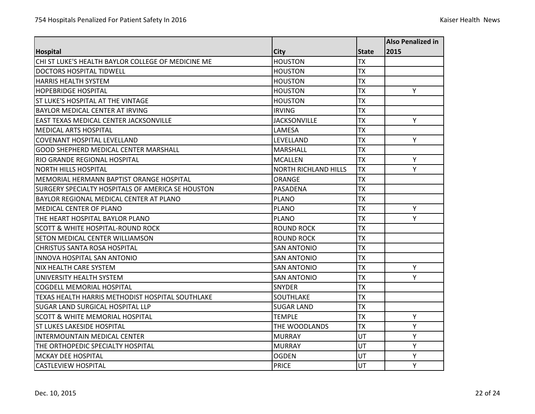|                                                         |                             |              | <b>Also Penalized in</b> |
|---------------------------------------------------------|-----------------------------|--------------|--------------------------|
| <b>Hospital</b>                                         | City                        | <b>State</b> | 2015                     |
| CHI ST LUKE'S HEALTH BAYLOR COLLEGE OF MEDICINE ME      | <b>HOUSTON</b>              | <b>TX</b>    |                          |
| DOCTORS HOSPITAL TIDWFLL                                | <b>HOUSTON</b>              | <b>TX</b>    |                          |
| <b>HARRIS HEALTH SYSTEM</b>                             | <b>HOUSTON</b>              | <b>TX</b>    |                          |
| <b>HOPEBRIDGE HOSPITAL</b>                              | <b>HOUSTON</b>              | <b>TX</b>    | Y                        |
| ST LUKE'S HOSPITAL AT THE VINTAGE                       | <b>HOUSTON</b>              | <b>TX</b>    |                          |
| BAYLOR MEDICAL CENTER AT IRVING                         | <b>IRVING</b>               | <b>TX</b>    |                          |
| <b>EAST TEXAS MEDICAL CENTER JACKSONVILLE</b>           | <b>JACKSONVILLE</b>         | <b>TX</b>    | Y                        |
| <b>MEDICAL ARTS HOSPITAL</b>                            | LAMESA                      | <b>TX</b>    |                          |
| <b>COVENANT HOSPITAL LEVELLAND</b>                      | LEVELLAND                   | <b>TX</b>    | Y                        |
| <b>GOOD SHEPHERD MEDICAL CENTER MARSHALL</b>            | <b>MARSHALL</b>             | <b>TX</b>    |                          |
| RIO GRANDE REGIONAL HOSPITAL                            | <b>MCALLEN</b>              | <b>TX</b>    | Υ                        |
| <b>NORTH HILLS HOSPITAL</b>                             | <b>NORTH RICHLAND HILLS</b> | <b>TX</b>    | Y                        |
| MEMORIAL HERMANN BAPTIST ORANGE HOSPITAL                | ORANGE                      | <b>TX</b>    |                          |
| SURGERY SPECIALTY HOSPITALS OF AMERICA SE HOUSTON       | PASADENA                    | <b>TX</b>    |                          |
| BAYLOR REGIONAL MEDICAL CENTER AT PLANO                 | <b>PLANO</b>                | <b>TX</b>    |                          |
| IMEDICAL CENTER OF PLANO                                | <b>PLANO</b>                | <b>TX</b>    | Y                        |
| THE HEART HOSPITAL BAYLOR PLANO                         | <b>PLANO</b>                | <b>TX</b>    | Y                        |
| <b>SCOTT &amp; WHITE HOSPITAL-ROUND ROCK</b>            | <b>ROUND ROCK</b>           | <b>TX</b>    |                          |
| SETON MEDICAL CENTER WILLIAMSON                         | ROUND ROCK                  | <b>TX</b>    |                          |
| <b>CHRISTUS SANTA ROSA HOSPITAL</b>                     | <b>SAN ANTONIO</b>          | <b>TX</b>    |                          |
| <b>INNOVA HOSPITAL SAN ANTONIO</b>                      | <b>SAN ANTONIO</b>          | <b>TX</b>    |                          |
| <b>NIX HEALTH CARE SYSTEM</b>                           | <b>SAN ANTONIO</b>          | <b>TX</b>    | Y                        |
| UNIVERSITY HEALTH SYSTEM                                | <b>SAN ANTONIO</b>          | <b>TX</b>    | Y                        |
| <b>COGDELL MEMORIAL HOSPITAL</b>                        | <b>SNYDER</b>               | <b>TX</b>    |                          |
| <b>TEXAS HEALTH HARRIS METHODIST HOSPITAL SOUTHLAKE</b> | SOUTHLAKE                   | <b>TX</b>    |                          |
| <b>SUGAR LAND SURGICAL HOSPITAL LLP</b>                 | <b>SUGAR LAND</b>           | <b>TX</b>    |                          |
| <b>SCOTT &amp; WHITE MEMORIAL HOSPITAL</b>              | <b>TEMPLE</b>               | <b>TX</b>    | Y                        |
| <b>ST LUKES LAKESIDE HOSPITAL</b>                       | THE WOODLANDS               | <b>TX</b>    | Y                        |
| <b>INTERMOUNTAIN MEDICAL CENTER</b>                     | <b>MURRAY</b>               | UT           | Y                        |
| THE ORTHOPEDIC SPECIALTY HOSPITAL                       | <b>MURRAY</b>               | UT           | Y                        |
| <b>MCKAY DEE HOSPITAL</b>                               | <b>OGDEN</b>                | UT           | Υ                        |
| <b>CASTLEVIEW HOSPITAL</b>                              | <b>PRICE</b>                | UT           | Y                        |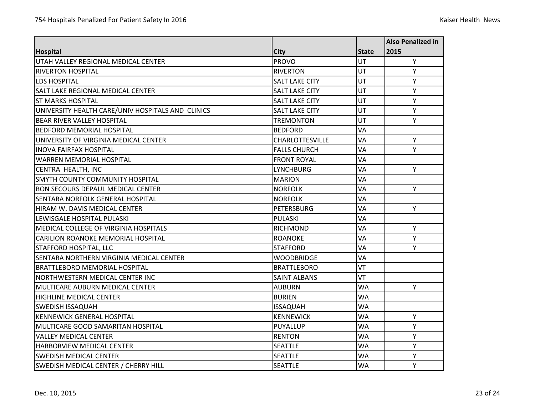|                                                   |                        |              | Also Penalized in |
|---------------------------------------------------|------------------------|--------------|-------------------|
| <b>Hospital</b>                                   | <b>City</b>            | <b>State</b> | 2015              |
| UTAH VALLEY REGIONAL MEDICAL CENTER               | <b>PROVO</b>           | <b>UT</b>    | Y                 |
| <b>RIVERTON HOSPITAL</b>                          | <b>RIVERTON</b>        | UT           | Y                 |
| <b>LDS HOSPITAL</b>                               | <b>SALT LAKE CITY</b>  | UT           | Y                 |
| <b>SALT LAKE REGIONAL MEDICAL CENTER</b>          | <b>SALT LAKE CITY</b>  | UT           | Y                 |
| <b>ST MARKS HOSPITAL</b>                          | <b>SALT LAKE CITY</b>  | UT           | Υ                 |
| UNIVERSITY HEALTH CARE/UNIV HOSPITALS AND CLINICS | <b>SALT LAKE CITY</b>  | UT           | Υ                 |
| <b>BEAR RIVER VALLEY HOSPITAL</b>                 | <b>TREMONTON</b>       | UT           | Y                 |
| <b>BEDFORD MEMORIAL HOSPITAL</b>                  | <b>BEDFORD</b>         | VA           |                   |
| UNIVERSITY OF VIRGINIA MEDICAL CENTER             | <b>CHARLOTTESVILLE</b> | <b>VA</b>    | Y                 |
| <b>INOVA FAIRFAX HOSPITAL</b>                     | <b>FALLS CHURCH</b>    | VA           | Υ                 |
| <b>WARREN MEMORIAL HOSPITAL</b>                   | <b>FRONT ROYAL</b>     | VA           |                   |
| CENTRA HEALTH, INC                                | <b>LYNCHBURG</b>       | <b>VA</b>    | Y                 |
| <b>SMYTH COUNTY COMMUNITY HOSPITAL</b>            | <b>MARION</b>          | VA           |                   |
| <b>BON SECOURS DEPAUL MEDICAL CENTER</b>          | <b>NORFOLK</b>         | <b>VA</b>    | Y                 |
| SENTARA NORFOLK GENERAL HOSPITAL                  | <b>NORFOLK</b>         | VA           |                   |
| HIRAM W. DAVIS MEDICAL CENTER                     | <b>PETERSBURG</b>      | VA           | Y                 |
| LEWISGALE HOSPITAL PULASKI                        | PULASKI                | VA           |                   |
| <b>MEDICAL COLLEGE OF VIRGINIA HOSPITALS</b>      | <b>RICHMOND</b>        | <b>VA</b>    | Y                 |
| <b>CARILION ROANOKE MEMORIAL HOSPITAL</b>         | <b>ROANOKE</b>         | VA           | Y                 |
| <b>STAFFORD HOSPITAL, LLC</b>                     | <b>STAFFORD</b>        | VA           | Υ                 |
| ISENTARA NORTHERN VIRGINIA MEDICAL CENTER         | <b>WOODBRIDGE</b>      | VA           |                   |
| <b>BRATTLEBORO MEMORIAL HOSPITAL</b>              | <b>BRATTLEBORO</b>     | VT           |                   |
| <b>NORTHWESTERN MEDICAL CENTER INC</b>            | <b>SAINT ALBANS</b>    | VT           |                   |
| <b>MULTICARE AUBURN MEDICAL CENTER</b>            | <b>AUBURN</b>          | <b>WA</b>    | Y                 |
| <b>HIGHLINE MEDICAL CENTER</b>                    | <b>BURIEN</b>          | WA           |                   |
| <b>SWEDISH ISSAQUAH</b>                           | <b>ISSAQUAH</b>        | <b>WA</b>    |                   |
| <b>KENNEWICK GENERAL HOSPITAL</b>                 | <b>KENNEWICK</b>       | <b>WA</b>    | Υ                 |
| MULTICARE GOOD SAMARITAN HOSPITAL                 | PUYALLUP               | <b>WA</b>    | Y                 |
| <b>VALLEY MEDICAL CENTER</b>                      | <b>RENTON</b>          | <b>WA</b>    | Y                 |
| <b>HARBORVIEW MEDICAL CENTER</b>                  | <b>SEATTLE</b>         | <b>WA</b>    | Y                 |
| <b>SWEDISH MEDICAL CENTER</b>                     | <b>SEATTLE</b>         | <b>WA</b>    | Υ                 |
| SWEDISH MEDICAL CENTER / CHERRY HILL              | <b>SEATTLE</b>         | <b>WA</b>    | Y                 |